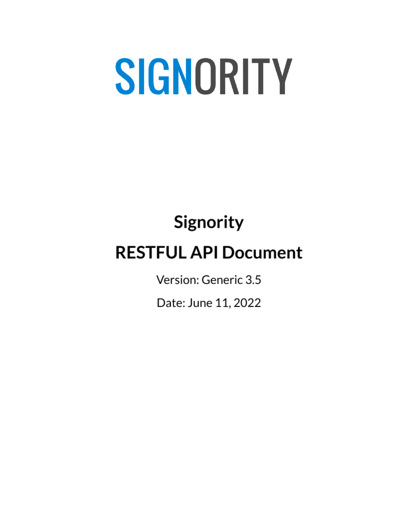# Signority **RESTFUL API Document**

Version: Generic 3.5

Date: June 11, 2022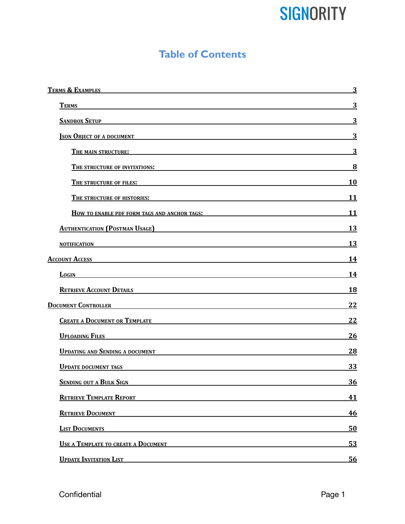### **Table of Contents**

| TERMS & EXAMPLES <b>SECURE 2006</b>                                                                                                                                                                                                                    | 3              |
|--------------------------------------------------------------------------------------------------------------------------------------------------------------------------------------------------------------------------------------------------------|----------------|
| <b>TERMS</b>                                                                                                                                                                                                                                           | 3              |
| SANDBOX SETUP                                                                                                                                                                                                                                          | 3              |
| <b>SON OBJECT OF A DOCUMENT</b>                                                                                                                                                                                                                        | $\overline{3}$ |
| <b>THE MAIN STRUCTURE:</b> THE MAIN STRUCTURE <b>EXECUTE:</b> THE MAIN STRUCTURE:                                                                                                                                                                      | $\overline{3}$ |
| THE STRUCTURE OF INVITATIONS: WE ARE AN ABOVE THE STRUCTURE OF INVITATIONS:                                                                                                                                                                            | 8              |
| THE STRUCTURE OF FILES: <b>All the STRUCTURE OF FILES:</b>                                                                                                                                                                                             | 10             |
| THE STRUCTURE OF HISTORIES: WE ARE AN ABOVE THE STRUCTURE OF HISTORIES:                                                                                                                                                                                | 11             |
| <b>HOW TO ENABLE PDF FORM TAGS AND ANCHOR TAGS:</b>                                                                                                                                                                                                    | <b>11</b>      |
| <b>AUTHENTICATION (POSTMAN USAGE)</b><br><u> 1989 - Johann Barbara, martxa alemaniar arg</u>                                                                                                                                                           | 13             |
| <b>NOTIFICATION</b>                                                                                                                                                                                                                                    | 13             |
| <b>Account Access</b><br><u> 1989 - Johann Barn, amerikan besteman besteman besteman besteman besteman besteman besteman besteman bestema</u>                                                                                                          | <u>14</u>      |
| <b>LOGIN</b><br><u> 1989 - Johann Barbara, martxa alemaniar argamento de la contrada de la contrada de la contrada de la contrad</u>                                                                                                                   | <u>14</u>      |
| RETRIEVE ACCOUNT DETAILS <b>AND RETRIEVE ACCOUNT</b>                                                                                                                                                                                                   | 18             |
|                                                                                                                                                                                                                                                        | 22             |
| CREATE A DOCUMENT OR TEMPLATE <b>A CONSERVERT OR TEMPLATE</b>                                                                                                                                                                                          | 22             |
| <b>UPLOADING FILES</b>                                                                                                                                                                                                                                 | 26             |
| <b>UPDATING AND SENDING A DOCUMENT</b><br><u> 1989 - Jan Sterling Sterling (f. 1989)</u>                                                                                                                                                               | 28             |
| <b>UPDATE DOCUMENT TAGS</b>                                                                                                                                                                                                                            | 33             |
| <b>SENDING OUT A BULK SIGN</b>                                                                                                                                                                                                                         | 36             |
| <b>RETRIEVE TEMPLATE REPORT</b>                                                                                                                                                                                                                        | 41             |
| RETRIEVE DOCUMENT <b>EXECUTE EXECUTE EXECUTE EXECUTE EXECUTE EXECUTE EXECUTE EXECUTE EXECUTE EXECUTE EXECUTE EXECUTE EXECUTE EXECUTE EXECUTE EXECUTE EXECUTE EXECUTE EXECUTE EXECUTE EXECUTE EXECUTE EXECUTE EXECUTE EXECUTE EXE</b>                   | 46             |
| <b>LIST DOCUMENTS</b><br>the control of the control of the control of the control of the control of the control of the control of the control of the control of the control of the control of the control of the control of the control of the control | 50             |
| USE A TEMPLATE TO CREATE A DOCUMENT                                                                                                                                                                                                                    | 53             |
| <b>UPDATE INVITATION LIST</b>                                                                                                                                                                                                                          | 56             |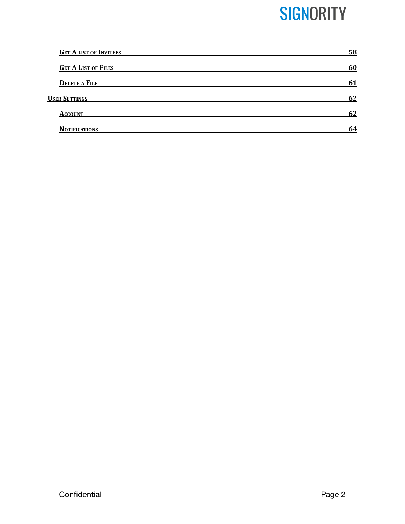| <b>GET A LIST OF INVITEES</b> | 58 |
|-------------------------------|----|
| <b>GET A LIST OF FILES</b>    | 60 |
| <b>DELETE A FILE</b>          | 61 |
| <b>USER SETTINGS</b>          | 62 |
| <b>ACCOUNT</b>                | 62 |
| <b>NOTIFICATIONS</b>          | 64 |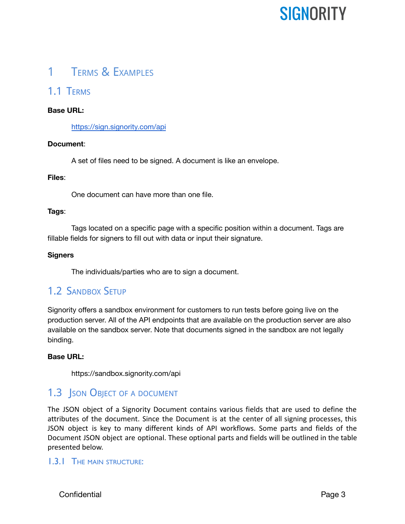### <span id="page-3-0"></span>1 TERMS & EXAMPLES

### <span id="page-3-1"></span>1.1 TERMS

#### **Base URL:**

<https://sign.signority.com/api>

#### **Document**:

A set of files need to be signed. A document is like an envelope.

#### **Files**:

One document can have more than one file.

#### **Tags**:

Tags located on a specific page with a specific position within a document. Tags are fillable fields for signers to fill out with data or input their signature.

#### **Signers**

The individuals/parties who are to sign a document.

### <span id="page-3-2"></span>1.2 SANDBOX SETUP

Signority offers a sandbox environment for customers to run tests before going live on the production server. All of the API endpoints that are available on the production server are also available on the sandbox server. Note that documents signed in the sandbox are not legally binding.

#### **Base URL:**

https://sandbox.signority.com/api

### <span id="page-3-3"></span>1.3 **JSON OBJECT OF A DOCUMENT**

The JSON object of a Signority Document contains various fields that are used to define the attributes of the document. Since the Document is at the center of all signing processes, this JSON object is key to many different kinds of API workflows. Some parts and fields of the Document JSON object are optional. These optional parts and fields will be outlined in the table presented below.

#### <span id="page-3-4"></span>1.3.1 THE MAIN STRUCTURE:

Confidential Page 3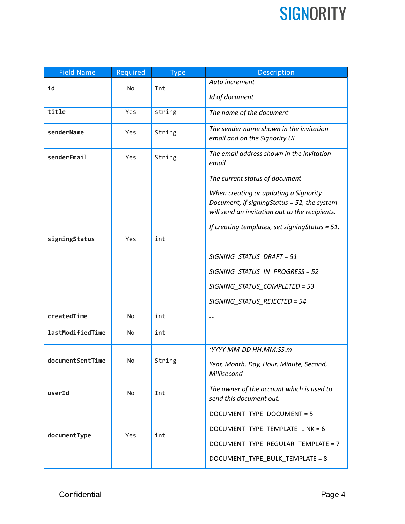| <b>Field Name</b> | Required  | <b>Type</b> | Description                                                                                                                                                                                                                |  |
|-------------------|-----------|-------------|----------------------------------------------------------------------------------------------------------------------------------------------------------------------------------------------------------------------------|--|
| id                | <b>No</b> | Int         | Auto increment                                                                                                                                                                                                             |  |
|                   |           |             | Id of document                                                                                                                                                                                                             |  |
| title             | Yes       | string      | The name of the document                                                                                                                                                                                                   |  |
| senderName        | Yes       | String      | The sender name shown in the invitation<br>email and on the Signority UI                                                                                                                                                   |  |
| senderEmail       | Yes       | String      | The email address shown in the invitation<br>email                                                                                                                                                                         |  |
| signingStatus     | Yes       | int         | The current status of document<br>When creating or updating a Signority<br>Document, if signingStatus = 52, the system<br>will send an invitation out to the recipients.<br>If creating templates, set signingStatus = 51. |  |
|                   |           |             | SIGNING_STATUS_DRAFT = 51<br>SIGNING_STATUS_IN_PROGRESS = 52<br>SIGNING_STATUS_COMPLETED = 53<br>SIGNING_STATUS_REJECTED = 54                                                                                              |  |
| createdTime       | No        | int         |                                                                                                                                                                                                                            |  |
| lastModifiedTime  | <b>No</b> | int         | $\qquad \qquad -$                                                                                                                                                                                                          |  |
| documentSentTime  | No        | String      | 'YYYY-MM-DD HH:MM:SS.m<br>Year, Month, Day, Hour, Minute, Second,<br>Millisecond                                                                                                                                           |  |
| userId            | No        | Int         | The owner of the account which is used to<br>send this document out.                                                                                                                                                       |  |
| documentType      | Yes       | int         | DOCUMENT_TYPE_DOCUMENT = 5<br>DOCUMENT TYPE TEMPLATE LINK = 6<br>DOCUMENT_TYPE_REGULAR_TEMPLATE = 7<br>DOCUMENT_TYPE_BULK_TEMPLATE = 8                                                                                     |  |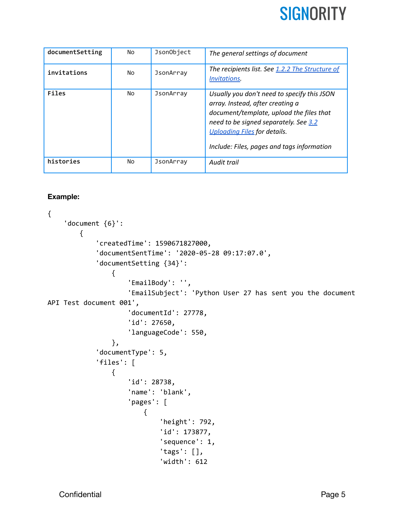

| documentSetting | No | JsonObject | The general settings of document                                                                                                                                                                                                                          |
|-----------------|----|------------|-----------------------------------------------------------------------------------------------------------------------------------------------------------------------------------------------------------------------------------------------------------|
| invitations     | No | JsonArray  | The recipients list. See 1.2.2 The Structure of<br><i>Invitations.</i>                                                                                                                                                                                    |
| Files           | No | JsonArray  | Usually you don't need to specify this JSON<br>array. Instead, after creating a<br>document/template, upload the files that<br>need to be signed separately. See 3.2<br><b>Uploading Files for details.</b><br>Include: Files, pages and tags information |
| histories       | No | JsonArray  | Audit trail                                                                                                                                                                                                                                               |

#### **Example:**

```
{
    'document {6}':
        {
            'createdTime': 1590671827000,
            'documentSentTime': '2020-05-28 09:17:07.0',
            'documentSetting {34}':
                {
                     'EmailBody': '',
                     'EmailSubject': 'Python User 27 has sent you the document
API Test document 001',
                     'documentId': 27778,
                     'id': 27650,
                     'languageCode': 550,
                },
            'documentType': 5,
            'files': [
                {
                     'id': 28738,
                     'name': 'blank',
                     'pages': [
                        {
                             'height': 792,
                             'id': 173877,
                             'sequence': 1,
                             'tags': [],
                             'width': 612
```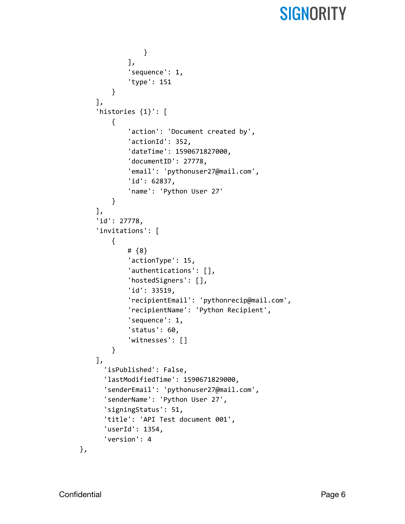```
}
            ],
            'sequence': 1,
            'type': 151
        }
    ],
    'histories {1}': [
        {
            'action': 'Document created by',
            'actionId': 352,
            'dateTime': 1590671827000,
            'documentID': 27778,
            'email': 'pythonuser27@mail.com',
            'id': 62837,
            'name': 'Python User 27'
        }
    ],
    'id': 27778,
    'invitations': [
        {
            # {8}
            'actionType': 15,
            'authentications': [],
            'hostedSigners': [],
            'id': 33519,
            'recipientEmail': 'pythonrecip@mail.com',
            'recipientName': 'Python Recipient',
            'sequence': 1,
            'status': 60,
            'witnesses': []
        }
    ],
      'isPublished': False,
      'lastModifiedTime': 1590671829000,
      'senderEmail': 'pythonuser27@mail.com',
      'senderName': 'Python User 27',
      'signingStatus': 51,
      'title': 'API Test document 001',
      'userId': 1354,
      'version': 4
},
```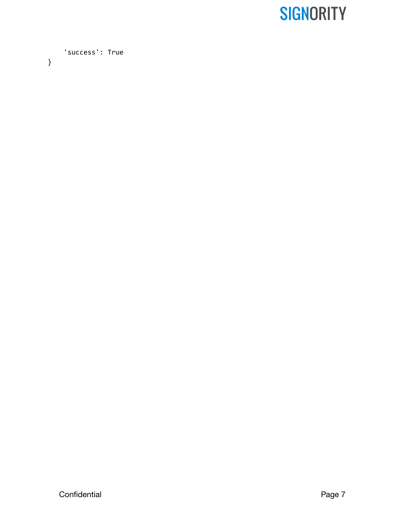'success': True

}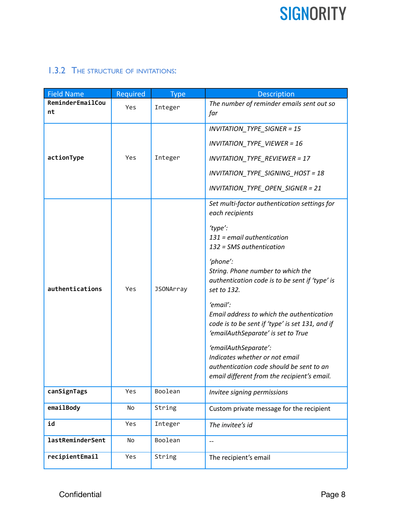### <span id="page-8-0"></span>1.3.2 THE STRUCTURE OF INVITATIONS:

| <b>Field Name</b>       | Required | <b>Type</b>      | <b>Description</b>                                                                                                                                                                                                                                                                                                                                                                                                                                                                                                                                              |
|-------------------------|----------|------------------|-----------------------------------------------------------------------------------------------------------------------------------------------------------------------------------------------------------------------------------------------------------------------------------------------------------------------------------------------------------------------------------------------------------------------------------------------------------------------------------------------------------------------------------------------------------------|
| ReminderEmailCou<br>nt  | Yes      | Integer          | The number of reminder emails sent out so<br>far                                                                                                                                                                                                                                                                                                                                                                                                                                                                                                                |
| actionType              | Yes      | Integer          | <b>INVITATION_TYPE_SIGNER = 15</b><br><b>INVITATION_TYPE_VIEWER = 16</b><br><b>INVITATION_TYPE_REVIEWER = 17</b><br><b>INVITATION TYPE SIGNING HOST = 18</b><br>INVITATION_TYPE_OPEN_SIGNER = 21                                                                                                                                                                                                                                                                                                                                                                |
| authentications         | Yes      | <b>JSONArray</b> | Set multi-factor authentication settings for<br>each recipients<br>'type':<br>$131$ = email authentication<br>132 = SMS authentication<br>'phone':<br>String. Phone number to which the<br>authentication code is to be sent if 'type' is<br>set to 132.<br>'email':<br>Email address to which the authentication<br>code is to be sent if 'type' is set 131, and if<br>'emailAuthSeparate' is set to True<br>'emailAuthSeparate':<br>Indicates whether or not email<br>authentication code should be sent to an<br>email different from the recipient's email. |
| canSignTags             | Yes      | Boolean          | Invitee signing permissions                                                                                                                                                                                                                                                                                                                                                                                                                                                                                                                                     |
| emailBody               | No       | String           | Custom private message for the recipient                                                                                                                                                                                                                                                                                                                                                                                                                                                                                                                        |
| id                      | Yes      | Integer          | The invitee's id                                                                                                                                                                                                                                                                                                                                                                                                                                                                                                                                                |
| <b>lastReminderSent</b> | No       | Boolean          | $-$                                                                                                                                                                                                                                                                                                                                                                                                                                                                                                                                                             |
| recipientEmail          | Yes      | String           | The recipient's email                                                                                                                                                                                                                                                                                                                                                                                                                                                                                                                                           |

Confidential **Page 8**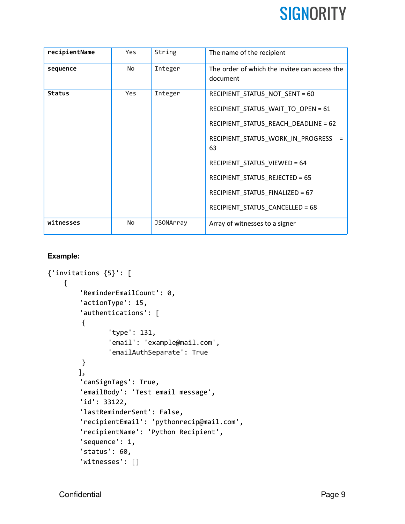| recipientName | Yes        | String           | The name of the recipient                                 |
|---------------|------------|------------------|-----------------------------------------------------------|
| sequence      | No         | Integer          | The order of which the invitee can access the<br>document |
| <b>Status</b> | <b>Yes</b> | Integer          | RECIPIENT STATUS NOT SENT = 60                            |
|               |            |                  | RECIPIENT_STATUS_WAIT_TO_OPEN = 61                        |
|               |            |                  | RECIPIENT_STATUS_REACH_DEADLINE = 62                      |
|               |            |                  | RECIPIENT_STATUS_WORK_IN_PROGRESS<br>63                   |
|               |            |                  | RECIPIENT_STATUS_VIEWED = 64                              |
|               |            |                  | RECIPIENT_STATUS_REJECTED = 65                            |
|               |            |                  | RECIPIENT_STATUS_FINALIZED = 67                           |
|               |            |                  | RECIPIENT_STATUS_CANCELLED = 68                           |
| witnesses     | <b>No</b>  | <b>JSONArray</b> | Array of witnesses to a signer                            |

#### **Example:**

```
{'invitations {5}': [
    {
        'ReminderEmailCount': 0,
        'actionType': 15,
        'authentications': [
        {
               'type': 131,
               'email': 'example@mail.com',
               'emailAuthSeparate': True
        }
       ],
        'canSignTags': True,
        'emailBody': 'Test email message',
        'id': 33122,
        'lastReminderSent': False,
        'recipientEmail': 'pythonrecip@mail.com',
        'recipientName': 'Python Recipient',
        'sequence': 1,
        'status': 60,
        'witnesses': []
```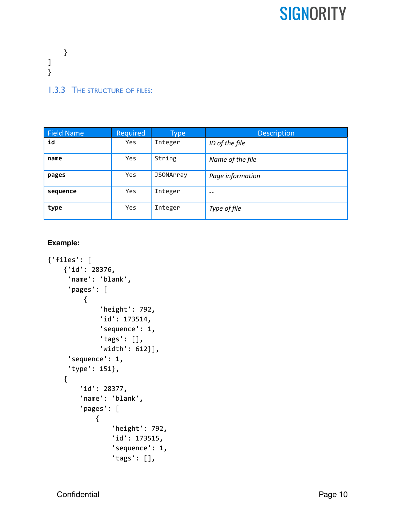} ] } 1.3.3 THE STRUCTURE OF FILES:

<span id="page-10-0"></span>

| <b>Field Name</b> | Required   | <b>Type</b>      | <b>Description</b> |
|-------------------|------------|------------------|--------------------|
| id                | Yes        | Integer          | ID of the file     |
| name              | Yes        | String           | Name of the file   |
| pages             | <b>Yes</b> | <b>JSONArray</b> | Page information   |
| sequence          | Yes        | Integer          |                    |
| type              | <b>Yes</b> | Integer          | Type of file       |
|                   |            |                  |                    |

#### **Example:**

```
{'files': [
    {'id': 28376,
     'name': 'blank',
     'pages': [
         {
             'height': 792,
             'id': 173514,
             'sequence': 1,
             'tags': [],
             'width': 612}],
     'sequence': 1,
     'type': 151},
    {
        'id': 28377,
        'name': 'blank',
        'pages': [
            {
                'height': 792,
                'id': 173515,
                'sequence': 1,
                'tags': [],
```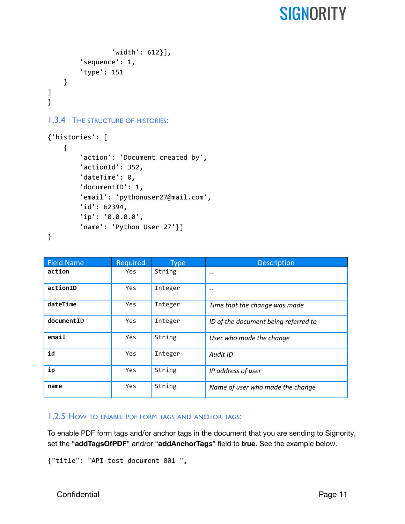```
'width': 612}],
        'sequence': 1,
        'type': 151
    }
]
}
1.3.4 THE STRUCTURE OF HISTORIES:
{'histories': [
    {
        'action': 'Document created by',
        'actionId': 352,
        'dateTime': 0,
        'documentID': 1,
        'email': 'pythonuser27@mail.com',
        'id': 62394,
        'ip': '0.0.0.0',
        'name': 'Python User 27'}]
```

```
}
```

| <b>Field Name</b> | Required   | <b>Type</b> | <b>Description</b>                   |
|-------------------|------------|-------------|--------------------------------------|
| action            | <b>Yes</b> | String      | $-$                                  |
| actionID          | Yes        | Integer     |                                      |
| dateTime          | <b>Yes</b> | Integer     | Time that the change was made        |
| documentID        | <b>Yes</b> | Integer     | ID of the document being referred to |
| email             | <b>Yes</b> | String      | User who made the change             |
| id                | <b>Yes</b> | Integer     | <b>Audit ID</b>                      |
| ip                | <b>Yes</b> | String      | IP address of user                   |
| name              | <b>Yes</b> | String      | Name of user who made the change     |

#### <span id="page-11-1"></span>1.2.5 HOW TO ENABLE PDF FORM TAGS AND ANCHOR TAGS:

To enable PDF form tags and/or anchor tags in the document that you are sending to Signority, set the "**addTagsOfPDF**" and/or "**addAnchorTags**" field to **true.** See the example below.

```
{"title": "API test document 001 ",
```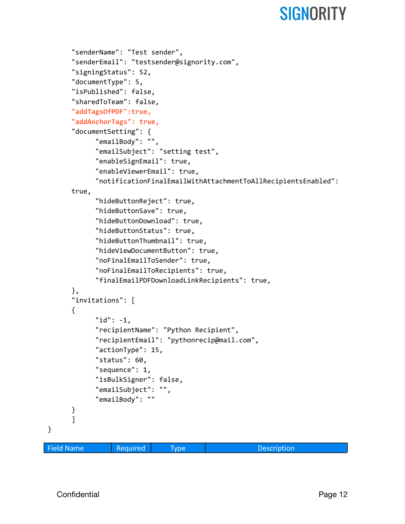```
"senderName": "Test sender",
      "senderEmail": "testsender@signority.com",
      "signingStatus": 52,
      "documentType": 5,
      "isPublished": false,
      "sharedToTeam": false,
      "addTagsOfPDF":true,
      "addAnchorTags": true,
      "documentSetting": {
            "emailBody": "",
            "emailSubject": "setting test",
            "enableSignEmail": true,
            "enableViewerEmail": true,
            "notificationFinalEmailWithAttachmentToAllRecipientsEnabled":
      true,
            "hideButtonReject": true,
            "hideButtonSave": true,
            "hideButtonDownload": true,
            "hideButtonStatus": true,
            "hideButtonThumbnail": true,
            "hideViewDocumentButton": true,
            "noFinalEmailToSender": true,
            "noFinalEmailToRecipients": true,
            "finalEmailPDFDownloadLinkRecipients": true,
      },
      "invitations": [
      {
            "id": -1,
            "recipientName": "Python Recipient",
            "recipientEmail": "pythonrecip@mail.com",
            "actionType": 15,
            "status": 60,
            "sequence": 1,
            "isBulkSigner": false,
            "emailSubject": "",
            "emailBody": ""
      }
      ]
Field Name Required Type Two Description
```
}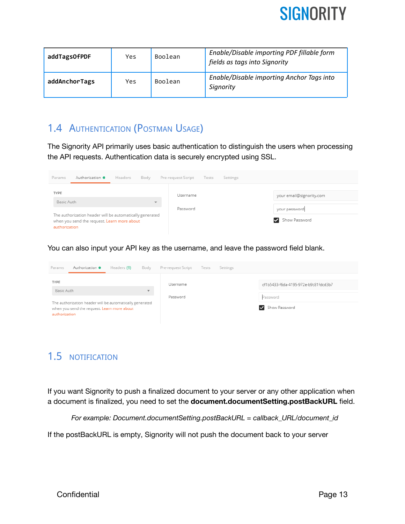

| addTagsOfPDF  | Yes. | Boolean | Enable/Disable importing PDF fillable form<br>fields as tags into Signority |  |
|---------------|------|---------|-----------------------------------------------------------------------------|--|
| addAnchorTags | Yes. | Boolean | Enable/Disable importing Anchor Tags into<br>Signority                      |  |

### <span id="page-13-0"></span>1.4 AUTHENTICATION (POSTMAN USAGE)

The Signority API primarily uses basic authentication to distinguish the users when processing the API requests. Authentication data is securely encrypted using SSL.

| Authorization ·<br>Params | Body<br>Headers                                                                                         | Pre-request Script | Tests<br>Settings |                                |
|---------------------------|---------------------------------------------------------------------------------------------------------|--------------------|-------------------|--------------------------------|
| <b>TYPE</b>               |                                                                                                         |                    |                   |                                |
|                           |                                                                                                         | Username           |                   | your email@signority.com       |
| Basic Auth                | $\mathbf{w}$                                                                                            |                    |                   |                                |
| authorization             | The authorization header will be automatically generated<br>when you send the request. Learn more about | Password           |                   | your password<br>Show Password |

You can also input your API key as the username, and leave the password field blank.

| Params                                                                                                                   | Authorization . | Headers (9) | Body                    | Pre-request Script | Tests         | Settings |                                      |
|--------------------------------------------------------------------------------------------------------------------------|-----------------|-------------|-------------------------|--------------------|---------------|----------|--------------------------------------|
| TYPE                                                                                                                     |                 |             |                         | Username           |               |          | cf1b5433-f6da-4195-972e-b9c81fdcd3b7 |
| Basic Auth                                                                                                               |                 |             | $\overline{\mathbf{v}}$ | Password           |               |          | Password                             |
| The authorization header will be automatically generated<br>when you send the request. Learn more about<br>authorization |                 |             |                         |                    | Show Password |          |                                      |

### <span id="page-13-1"></span>1.5 NOTIFICATION

If you want Signority to push a finalized document to your server or any other application when a document is finalized, you need to set the **document.documentSetting.postBackURL** field.

*For example: Document.documentSetting.postBackURL = callback\_URL/document\_id*

If the postBackURL is empty, Signority will not push the document back to your server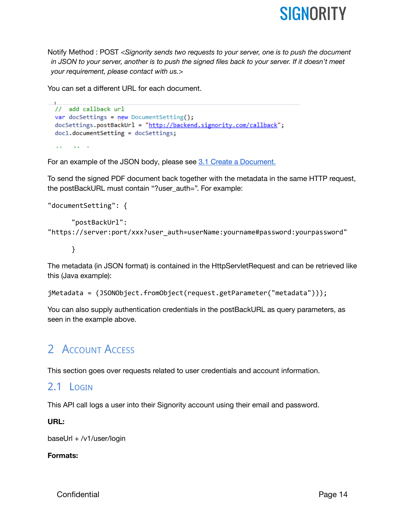

Notify Method : POST <*Signority sends two requests to your server, one is to push the document in JSON to your server, another is to push the signed files back to your server. If it doesn't meet your requirement, please contact with us.*>

You can set a different URL for each document.

```
\Box// add callback url
 var docSettings = new DocumentSetting();
 docSettings.postBackUrl = "http://backend.signority.com/callback";
 doc1.documentSetting = docSettings;
  \mathbf{r}\alpha and \alpha
```
For an example of the JSON body, please see 3.1 Create a [Document.](#page-22-1)

To send the signed PDF document back together with the metadata in the same HTTP request, the postBackURL must contain "?user\_auth=". For example:

```
"documentSetting": {
      "postBackUrl":
"https://server:port/xxx?user_auth=userName:yourname#password:yourpassword"
```

```
}
```
The metadata (in JSON format) is contained in the HttpServletRequest and can be retrieved like this (Java example):

```
jMetadata = (JSONObject.fromObject(request.getParameter("metadata")));
```
You can also supply authentication credentials in the postBackURL as query parameters, as seen in the example above.

### <span id="page-14-0"></span>2 ACCOUNT ACCESS

This section goes over requests related to user credentials and account information.

### <span id="page-14-1"></span>2.1 LOGIN

This API call logs a user into their Signority account using their email and password.

#### **URL:**

baseUrl + /v1/user/login

#### **Formats:**

Confidential **Page 14**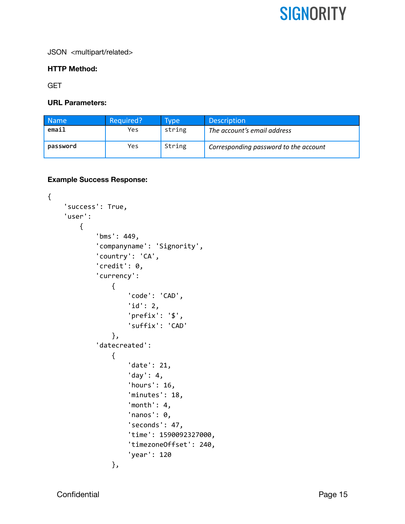JSON <multipart/related>

#### **HTTP Method:**

**GET** 

#### **URL Parameters:**

| <b>Name</b> | Required? | <b>Type</b> | <b>Description</b>                    |
|-------------|-----------|-------------|---------------------------------------|
| email       | Yes       | string      | The account's email address           |
| password    | Yes       | String      | Corresponding password to the account |

#### **Example Success Response:**

```
{
    'success': True,
    'user':
        {
            'bms': 449,
            'companyname': 'Signority',
            'country': 'CA',
            'credit': 0,
             'currency':
                {
                     'code': 'CAD',
                     'id': 2,
                     'prefix': '$',
                     'suffix': 'CAD'
                },
             'datecreated':
                {
                     'date': 21,
                     'day': 4,
                     'hours': 16,
                     'minutes': 18,
                     'month': 4,
                     'nanos': 0,
                     'seconds': 47,
                     'time': 1590092327000,
                     'timezoneOffset': 240,
                     'year': 120
                },
```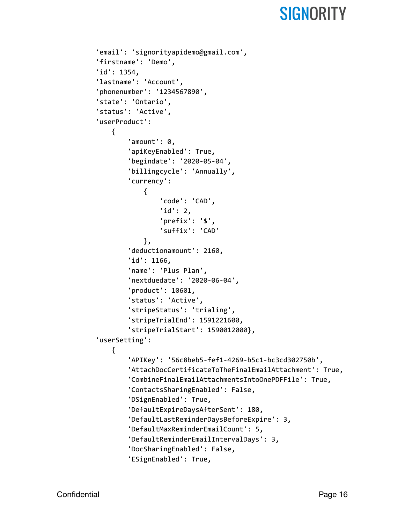```
'email': 'signorityapidemo@gmail.com',
'firstname': 'Demo',
'id': 1354,
'lastname': 'Account',
'phonenumber': '1234567890',
'state': 'Ontario',
'status': 'Active',
'userProduct':
   {
        'amount': 0,
        'apiKeyEnabled': True,
        'begindate': '2020-05-04',
        'billingcycle': 'Annually',
        'currency':
            {
                'code': 'CAD',
                'id': 2,
                'prefix': '$',
                'suffix': 'CAD'
            },
        'deductionamount': 2160,
        'id': 1166,
        'name': 'Plus Plan',
        'nextduedate': '2020-06-04',
        'product': 10601,
        'status': 'Active',
        'stripeStatus': 'trialing',
        'stripeTrialEnd': 1591221600,
        'stripeTrialStart': 1590012000},
'userSetting':
   {
        'APIKey': '56c8beb5-fef1-4269-b5c1-bc3cd302750b',
        'AttachDocCertificateToTheFinalEmailAttachment': True,
        'CombineFinalEmailAttachmentsIntoOnePDFFile': True,
        'ContactsSharingEnabled': False,
        'DSignEnabled': True,
        'DefaultExpireDaysAfterSent': 180,
        'DefaultLastReminderDaysBeforeExpire': 3,
        'DefaultMaxReminderEmailCount': 5,
        'DefaultReminderEmailIntervalDays': 3,
        'DocSharingEnabled': False,
```

```
'ESignEnabled': True,
```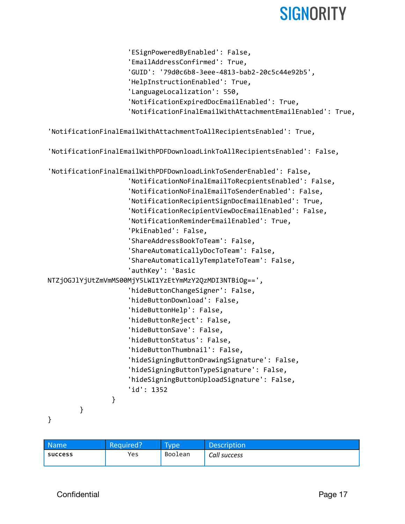```
'ESignPoweredByEnabled': False,
                    'EmailAddressConfirmed': True,
                    'GUID': '79d0c6b8-3eee-4813-bab2-20c5c44e92b5',
                    'HelpInstructionEnabled': True,
                    'LanguageLocalization': 550,
                    'NotificationExpiredDocEmailEnabled': True,
                    'NotificationFinalEmailWithAttachmentEmailEnabled': True,
'NotificationFinalEmailWithAttachmentToAllRecipientsEnabled': True,
'NotificationFinalEmailWithPDFDownloadLinkToAllRecipientsEnabled': False,
'NotificationFinalEmailWithPDFDownloadLinkToSenderEnabled': False,
                    'NotificationNoFinalEmailToRecpientsEnabled': False,
                    'NotificationNoFinalEmailToSenderEnabled': False,
                    'NotificationRecipientSignDocEmailEnabled': True,
                    'NotificationRecipientViewDocEmailEnabled': False,
                    'NotificationReminderEmailEnabled': True,
                    'PkiEnabled': False,
                    'ShareAddressBookToTeam': False,
                    'ShareAutomaticallyDocToTeam': False,
                    'ShareAutomaticallyTemplateToTeam': False,
                    'authKey': 'Basic
NTZjOGJlYjUtZmVmMS00MjY5LWI1YzEtYmMzY2QzMDI3NTBiOg==',
                    'hideButtonChangeSigner': False,
                    'hideButtonDownload': False,
                    'hideButtonHelp': False,
                    'hideButtonReject': False,
                    'hideButtonSave': False,
                    'hideButtonStatus': False,
                    'hideButtonThumbnail': False,
                    'hideSigningButtonDrawingSignature': False,
                    'hideSigningButtonTypeSignature': False,
                    'hideSigningButtonUploadSignature': False,
                    'id': 1352
                }
        }
```
}

| <b>Name</b>    | Required? | <b>Type</b> | <b>Description</b> |
|----------------|-----------|-------------|--------------------|
| <b>SUCCESS</b> | Yes       | Boolean     | Call success       |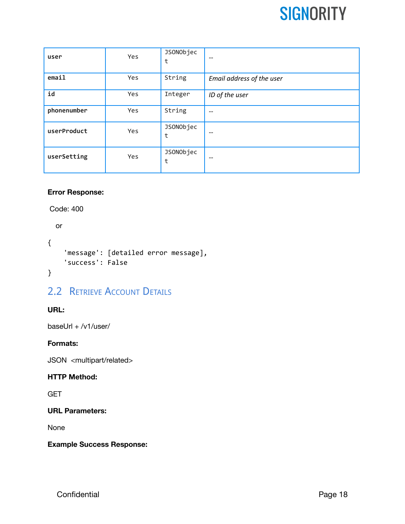| user        | Yes | JSONObjec<br>t | $-$                       |
|-------------|-----|----------------|---------------------------|
| email       | Yes | String         | Email address of the user |
| id          | Yes | Integer        | ID of the user            |
| phonenumber | Yes | String         | --                        |
| userProduct | Yes | JSONObjec<br>t | $- -$                     |
| userSetting | Yes | JSONObjec<br>t | $- -$                     |

#### **Error Response:**

Code: 400

```
or
{
    'message': [detailed error message],
    'success': False
}
```
### <span id="page-18-0"></span>2.2 RETRIEVE ACCOUNT DETAILS

#### **URL:**

baseUrl + /v1/user/

#### **Formats:**

JSON <multipart/related>

#### **HTTP Method:**

**GET** 

#### **URL Parameters:**

None

#### **Example Success Response:**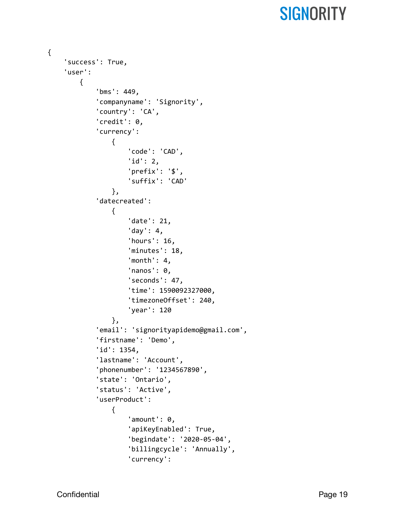```
{
    'success': True,
    'user':
        {
            'bms': 449,
            'companyname': 'Signority',
             'country': 'CA',
             'credit': 0,
             'currency':
                {
                     'code': 'CAD',
                     'id': 2,
                     'prefix': '$',
                     'suffix': 'CAD'
                },
             'datecreated':
                {
                     'date': 21,
                     'day': 4,
                     'hours': 16,
                     'minutes': 18,
                     'month': 4,
                     'nanos': 0,
                     'seconds': 47,
                     'time': 1590092327000,
                     'timezoneOffset': 240,
                     'year': 120
                },
             'email': 'signorityapidemo@gmail.com',
             'firstname': 'Demo',
            'id': 1354,
             'lastname': 'Account',
             'phonenumber': '1234567890',
             'state': 'Ontario',
             'status': 'Active',
             'userProduct':
                {
                     'amount': 0,
                     'apiKeyEnabled': True,
                     'begindate': '2020-05-04',
                     'billingcycle': 'Annually',
                     'currency':
```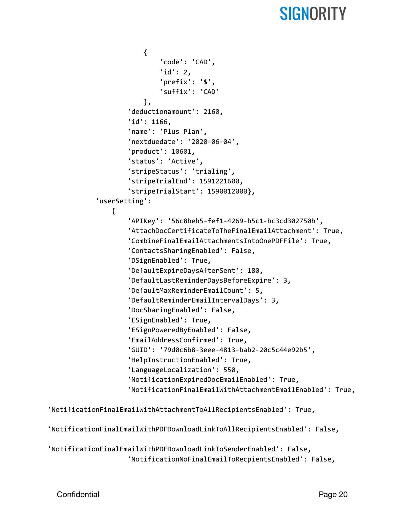```
{
                'code': 'CAD',
                'id': 2,
                'prefix': '$',
                'suffix': 'CAD'
            },
        'deductionamount': 2160,
        'id': 1166,
        'name': 'Plus Plan',
        'nextduedate': '2020-06-04',
        'product': 10601,
        'status': 'Active',
        'stripeStatus': 'trialing',
        'stripeTrialEnd': 1591221600,
        'stripeTrialStart': 1590012000},
'userSetting':
   {
        'APIKey': '56c8beb5-fef1-4269-b5c1-bc3cd302750b',
        'AttachDocCertificateToTheFinalEmailAttachment': True,
        'CombineFinalEmailAttachmentsIntoOnePDFFile': True,
        'ContactsSharingEnabled': False,
        'DSignEnabled': True,
        'DefaultExpireDaysAfterSent': 180,
        'DefaultLastReminderDaysBeforeExpire': 3,
        'DefaultMaxReminderEmailCount': 5,
        'DefaultReminderEmailIntervalDays': 3,
        'DocSharingEnabled': False,
        'ESignEnabled': True,
        'ESignPoweredByEnabled': False,
        'EmailAddressConfirmed': True,
        'GUID': '79d0c6b8-3eee-4813-bab2-20c5c44e92b5',
        'HelpInstructionEnabled': True,
        'LanguageLocalization': 550,
        'NotificationExpiredDocEmailEnabled': True,
        'NotificationFinalEmailWithAttachmentEmailEnabled': True,
```
'NotificationFinalEmailWithAttachmentToAllRecipientsEnabled': True,

'NotificationFinalEmailWithPDFDownloadLinkToAllRecipientsEnabled': False,

```
'NotificationFinalEmailWithPDFDownloadLinkToSenderEnabled': False,
                    'NotificationNoFinalEmailToRecpientsEnabled': False,
```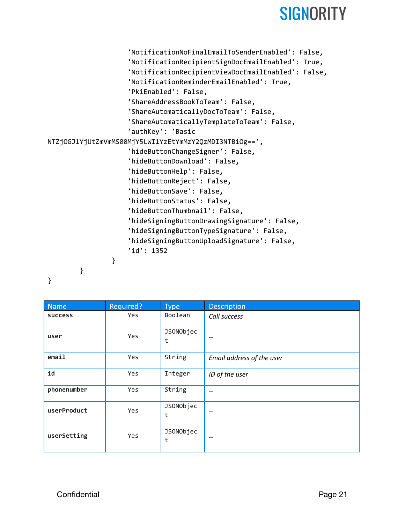```
'NotificationNoFinalEmailToSenderEnabled': False,
                    'NotificationRecipientSignDocEmailEnabled': True,
                    'NotificationRecipientViewDocEmailEnabled': False,
                    'NotificationReminderEmailEnabled': True,
                    'PkiEnabled': False,
                    'ShareAddressBookToTeam': False,
                    'ShareAutomaticallyDocToTeam': False,
                    'ShareAutomaticallyTemplateToTeam': False,
                    'authKey': 'Basic
NTZjOGJlYjUtZmVmMS00MjY5LWI1YzEtYmMzY2QzMDI3NTBiOg==',
                    'hideButtonChangeSigner': False,
                    'hideButtonDownload': False,
                    'hideButtonHelp': False,
                    'hideButtonReject': False,
                    'hideButtonSave': False,
                    'hideButtonStatus': False,
                    'hideButtonThumbnail': False,
                    'hideSigningButtonDrawingSignature': False,
                    'hideSigningButtonTypeSignature': False,
                    'hideSigningButtonUploadSignature': False,
                    'id': 1352
                }
        }
```
}

| Name           | Required?  | <b>Type</b>    | Description               |
|----------------|------------|----------------|---------------------------|
| <b>SUCCESS</b> | <b>Yes</b> | Boolean        | Call success              |
| user           | Yes        | JSONObjec<br>t | --                        |
| email          | Yes        | String         | Email address of the user |
| id             | Yes        | Integer        | ID of the user            |
| phonenumber    | Yes        | String         | --                        |
| userProduct    | Yes        | JSONObjec<br>t | --                        |
| userSetting    | Yes        | JSONObjec<br>t | --                        |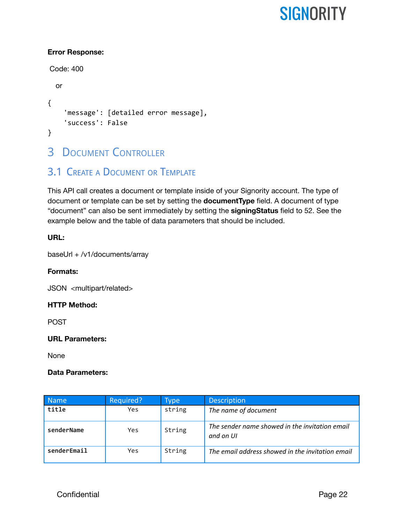#### **Error Response:**

```
Code: 400
  or
{
    'message': [detailed error message],
    'success': False
}
```
### <span id="page-22-0"></span>**3 DOCUMENT CONTROLLER**

### <span id="page-22-1"></span>3.1 CREATE A DOCUMENT OR TEMPLATE

This API call creates a document or template inside of your Signority account. The type of document or template can be set by setting the **documentType** field. A document of type "document" can also be sent immediately by setting the **signingStatus** field to 52. See the example below and the table of data parameters that should be included.

#### **URL:**

baseUrl + /v1/documents/array

#### **Formats:**

JSON <multipart/related>

#### **HTTP Method:**

POST

#### **URL Parameters:**

None

#### **Data Parameters:**

| <b>Name</b> | Required? | Type   | <b>Description</b>                                          |
|-------------|-----------|--------|-------------------------------------------------------------|
| title       | Yes       | string | The name of document                                        |
| senderName  | Yes       | String | The sender name showed in the invitation email<br>and on UI |
| senderEmail | Yes       | String | The email address showed in the invitation email            |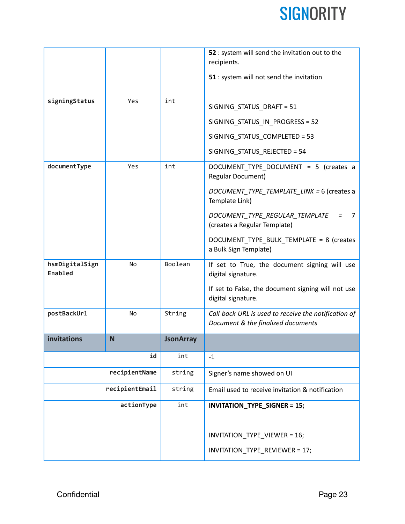|                           |               |                  | 52 : system will send the invitation out to the                                            |
|---------------------------|---------------|------------------|--------------------------------------------------------------------------------------------|
|                           |               |                  | recipients.                                                                                |
|                           |               |                  | 51 : system will not send the invitation                                                   |
| signingStatus             | Yes           | int              |                                                                                            |
|                           |               |                  | SIGNING_STATUS_DRAFT = 51                                                                  |
|                           |               |                  | SIGNING_STATUS_IN_PROGRESS = 52                                                            |
|                           |               |                  | SIGNING_STATUS_COMPLETED = 53                                                              |
|                           |               |                  | SIGNING_STATUS_REJECTED = 54                                                               |
| documentType              | Yes           | int              | DOCUMENT_TYPE_DOCUMENT = 5 (creates a<br><b>Regular Document)</b>                          |
|                           |               |                  | DOCUMENT_TYPE_TEMPLATE_LINK = 6 (creates a<br>Template Link)                               |
|                           |               |                  | DOCUMENT TYPE REGULAR TEMPLATE<br>7<br>$=$<br>(creates a Regular Template)                 |
|                           |               |                  | DOCUMENT_TYPE_BULK_TEMPLATE = 8 (creates<br>a Bulk Sign Template)                          |
| hsmDigitalSign<br>Enabled | No            | Boolean          | If set to True, the document signing will use<br>digital signature.                        |
|                           |               |                  | If set to False, the document signing will not use<br>digital signature.                   |
| postBackUrl               | No            | String           | Call back URL is used to receive the notification of<br>Document & the finalized documents |
| invitations               | N             | <b>JsonArray</b> |                                                                                            |
|                           | id            | int              | $-1$                                                                                       |
|                           | recipientName |                  | Signer's name showed on UI                                                                 |
| recipientEmail            |               | string           | Email used to receive invitation & notification                                            |
| actionType                |               | int              | <b>INVITATION_TYPE_SIGNER = 15;</b>                                                        |
|                           |               |                  |                                                                                            |
|                           |               |                  | INVITATION_TYPE_VIEWER = 16;                                                               |
|                           |               |                  | INVITATION_TYPE_REVIEWER = 17;                                                             |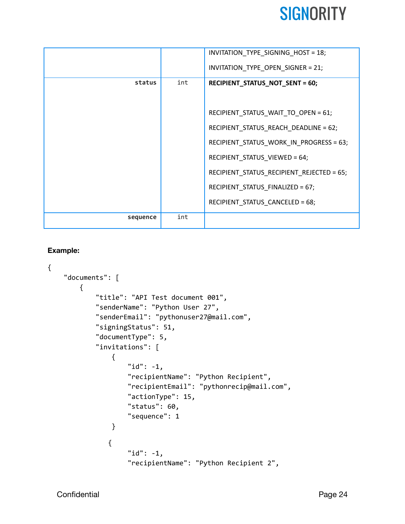|          |     | INVITATION_TYPE_SIGNING_HOST = 18;        |
|----------|-----|-------------------------------------------|
|          |     | INVITATION_TYPE_OPEN_SIGNER = 21;         |
| status   | int | RECIPIENT_STATUS_NOT_SENT = 60;           |
|          |     |                                           |
|          |     | RECIPIENT_STATUS_WAIT_TO_OPEN = 61;       |
|          |     | RECIPIENT_STATUS_REACH_DEADLINE = 62;     |
|          |     | RECIPIENT_STATUS_WORK_IN_PROGRESS = 63;   |
|          |     | RECIPIENT_STATUS_VIEWED = 64;             |
|          |     | RECIPIENT_STATUS_RECIPIENT_REJECTED = 65; |
|          |     | RECIPIENT_STATUS_FINALIZED = 67;          |
|          |     | RECIPIENT_STATUS_CANCELED = 68;           |
| sequence | int |                                           |

#### **Example:**

```
{
    "documents": [
        {
            "title": "API Test document 001",
            "senderName": "Python User 27",
            "senderEmail": "pythonuser27@mail.com",
            "signingStatus": 51,
            "documentType": 5,
            "invitations": [
                {
                    "id": -1,
                    "recipientName": "Python Recipient",
                    "recipientEmail": "pythonrecip@mail.com",
                    "actionType": 15,
                    "status": 60,
                    "sequence": 1
                }
               {
                    "id": -1,
                    "recipientName": "Python Recipient 2",
```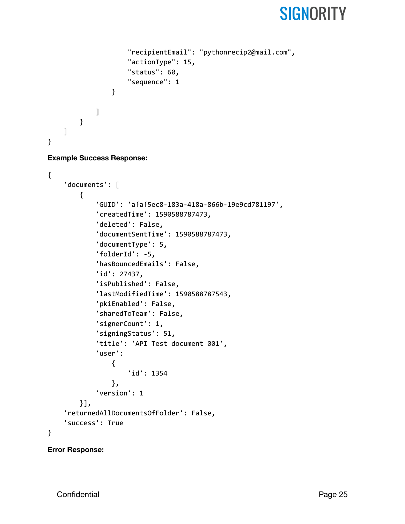```
"recipientEmail": "pythonrecip2@mail.com",
                 "actionType": 15,
                 "status": 60,
                 "sequence": 1
            }
        ]
    }
]
```
#### **Example Success Response:**

}

```
{
    'documents': [
        {
            'GUID': 'afaf5ec8-183a-418a-866b-19e9cd781197',
            'createdTime': 1590588787473,
            'deleted': False,
            'documentSentTime': 1590588787473,
            'documentType': 5,
            'folderId': -5,
            'hasBouncedEmails': False,
            'id': 27437,
            'isPublished': False,
            'lastModifiedTime': 1590588787543,
            'pkiEnabled': False,
            'sharedToTeam': False,
            'signerCount': 1,
            'signingStatus': 51,
            'title': 'API Test document 001',
            'user':
                {
                    'id': 1354
                },
            'version': 1
        }],
    'returnedAllDocumentsOfFolder': False,
    'success': True
}
```
#### **Error Response:**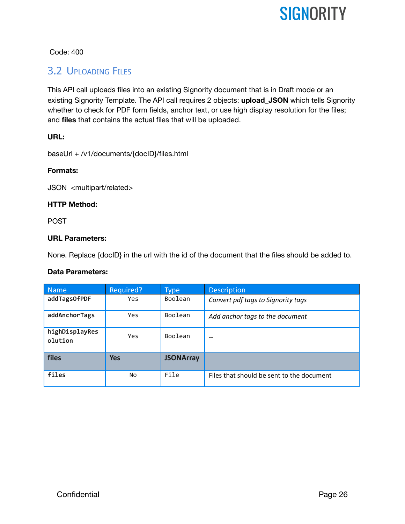Code: 400

### <span id="page-26-0"></span>3.2 UPLOADING FILES

This API call uploads files into an existing Signority document that is in Draft mode or an existing Signority Template. The API call requires 2 objects: **upload\_JSON** which tells Signority whether to check for PDF form fields, anchor text, or use high display resolution for the files; and **files** that contains the actual files that will be uploaded.

#### **URL:**

baseUrl + /v1/documents/{docID}/files.html

#### **Formats:**

JSON <multipart/related>

#### **HTTP Method:**

POST

#### **URL Parameters:**

None. Replace {docID} in the url with the id of the document that the files should be added to.

#### **Data Parameters:**

| <b>Name</b>               | Required?  | <b>Type</b>      | <b>Description</b>                        |
|---------------------------|------------|------------------|-------------------------------------------|
| addTagsOfPDF              | <b>Yes</b> | Boolean          | Convert pdf tags to Signority tags        |
| addAnchorTags             | Yes        | Boolean          | Add anchor tags to the document           |
| highDisplayRes<br>olution | Yes        | Boolean          | $- -$                                     |
| files                     | <b>Yes</b> | <b>JSONArray</b> |                                           |
| files                     | No         | File             | Files that should be sent to the document |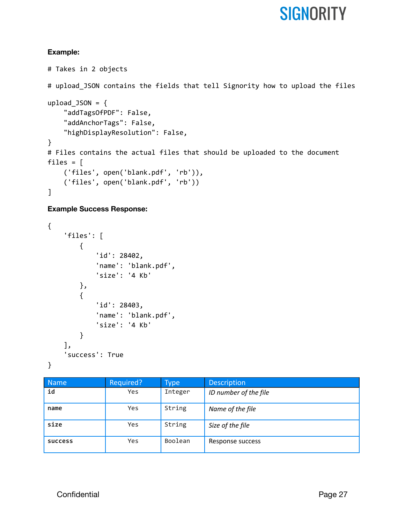#### **Example:**

# Takes in 2 objects # upload\_JSON contains the fields that tell Signority how to upload the files upload\_JSON =  $\{$ "addTagsOfPDF": False, "addAnchorTags": False, "highDisplayResolution": False, } # Files contains the actual files that should be uploaded to the document files = [ ('files', open('blank.pdf', 'rb')), ('files', open('blank.pdf', 'rb')) ]

#### **Example Success Response:**

```
{
    'files': [
        {
             'id': 28402,
             'name': 'blank.pdf',
             'size': '4 Kb'
        },
        {
             'id': 28403,
             'name': 'blank.pdf',
             'size': '4 Kb'
        }
    ],
    'success': True
}
```

| <b>Name</b>    | Required?  | Type    | <b>Description</b>    |
|----------------|------------|---------|-----------------------|
| id             | <b>Yes</b> | Integer | ID number of the file |
| name           | Yes        | String  | Name of the file      |
| size           | <b>Yes</b> | String  | Size of the file      |
| <b>SUCCESS</b> | <b>Yes</b> | Boolean | Response success      |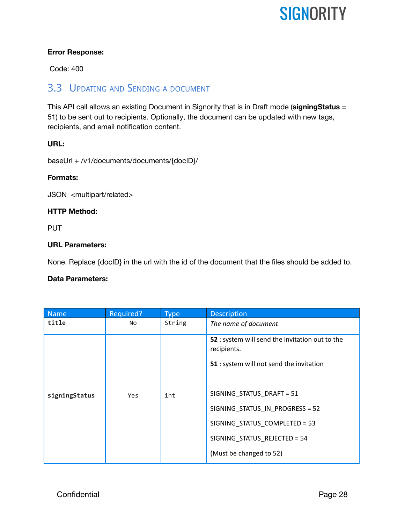#### **Error Response:**

Code: 400

### <span id="page-28-0"></span>3.3 UPDATING AND SENDING A DOCUMENT

This API call allows an existing Document in Signority that is in Draft mode (**signingStatus** = 51) to be sent out to recipients. Optionally, the document can be updated with new tags, recipients, and email notification content.

#### **URL:**

baseUrl + /v1/documents/documents/{docID}/

#### **Formats:**

JSON <multipart/related>

#### **HTTP Method:**

PUT

#### **URL Parameters:**

None. Replace {docID} in the url with the id of the document that the files should be added to.

#### **Data Parameters:**

| <b>Name</b>   | Required? | <b>Type</b> | <b>Description</b>                                                                                         |
|---------------|-----------|-------------|------------------------------------------------------------------------------------------------------------|
| title         | No        | String      | The name of document                                                                                       |
|               |           |             | 52 : system will send the invitation out to the<br>recipients.<br>51 : system will not send the invitation |
| signingStatus | Yes       | int         | SIGNING_STATUS_DRAFT = 51<br>SIGNING STATUS IN PROGRESS = 52                                               |
|               |           |             | SIGNING_STATUS_COMPLETED = 53                                                                              |
|               |           |             | SIGNING_STATUS_REJECTED = 54                                                                               |
|               |           |             | (Must be changed to 52)                                                                                    |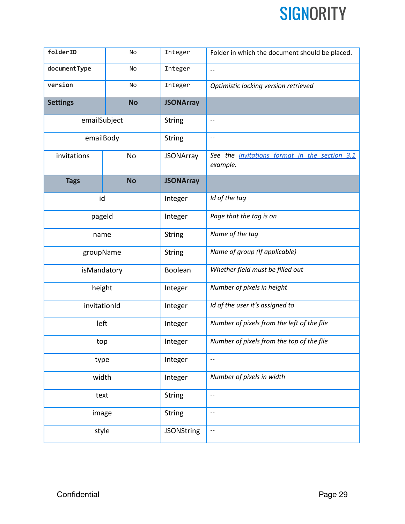| folderID        | No        | Integer           | Folder in which the document should be placed.                   |
|-----------------|-----------|-------------------|------------------------------------------------------------------|
| documentType    | No        | Integer           | $\overline{\phantom{m}}$                                         |
| version         | No        | Integer           | Optimistic locking version retrieved                             |
| <b>Settings</b> | <b>No</b> | <b>JSONArray</b>  |                                                                  |
| emailSubject    |           | <b>String</b>     | $-\!$ –                                                          |
| emailBody       |           | <b>String</b>     | $\overline{\phantom{a}}$                                         |
| invitations     | No        | <b>JSONArray</b>  | See the <i>invitations format in the section 3.1</i><br>example. |
| <b>Tags</b>     | <b>No</b> | <b>JSONArray</b>  |                                                                  |
| id              |           | Integer           | Id of the tag                                                    |
| pageld          |           | Integer           | Page that the tag is on                                          |
| name            |           | <b>String</b>     | Name of the tag                                                  |
| groupName       |           | <b>String</b>     | Name of group (If applicable)                                    |
| isMandatory     |           | Boolean           | Whether field must be filled out                                 |
| height          |           | Integer           | Number of pixels in height                                       |
| invitationId    |           | Integer           | Id of the user it's assigned to                                  |
| left            |           | Integer           | Number of pixels from the left of the file                       |
| top             |           | Integer           | Number of pixels from the top of the file                        |
| type            |           | Integer           | $\overline{\phantom{a}}$                                         |
| width           |           | Integer           | Number of pixels in width                                        |
| text            |           | <b>String</b>     | $\overline{\phantom{a}}$                                         |
| image           |           | <b>String</b>     | $\overline{\phantom{a}}$                                         |
| style           |           | <b>JSONString</b> | $\overline{\phantom{a}}$                                         |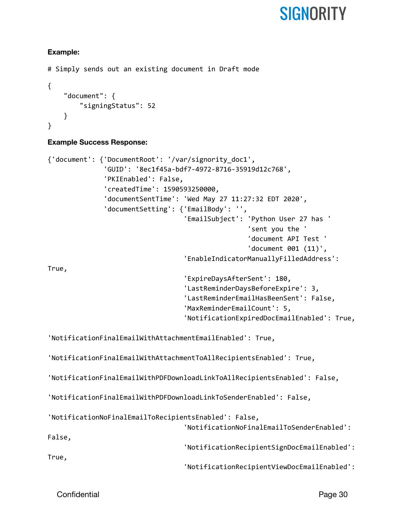#### **Example:**

```
# Simply sends out an existing document in Draft mode
{
    "document": {
        "signingStatus": 52
    }
}
```
#### **Example Success Response:**

```
{'document': {'DocumentRoot': '/var/signority_doc1',
              'GUID': '8ec1f45a-bdf7-4972-8716-35919d12c768',
              'PKIEnabled': False,
              'createdTime': 1590593250000,
              'documentSentTime': 'Wed May 27 11:27:32 EDT 2020',
              'documentSetting': {'EmailBody': '',
                                   'EmailSubject': 'Python User 27 has '
                                                   'sent you the '
                                                   'document API Test '
                                                   'document 001 (11)',
                                   'EnableIndicatorManuallyFilledAddress':
True,
                                   'ExpireDaysAfterSent': 180,
                                  'LastReminderDaysBeforeExpire': 3,
                                  'LastReminderEmailHasBeenSent': False,
                                   'MaxReminderEmailCount': 5,
                                   'NotificationExpiredDocEmailEnabled': True,
'NotificationFinalEmailWithAttachmentEmailEnabled': True,
'NotificationFinalEmailWithAttachmentToAllRecipientsEnabled': True,
'NotificationFinalEmailWithPDFDownloadLinkToAllRecipientsEnabled': False,
'NotificationFinalEmailWithPDFDownloadLinkToSenderEnabled': False,
'NotificationNoFinalEmailToRecipientsEnabled': False,
                                  'NotificationNoFinalEmailToSenderEnabled':
False,
                                  'NotificationRecipientSignDocEmailEnabled':
True,
                                  'NotificationRecipientViewDocEmailEnabled':
```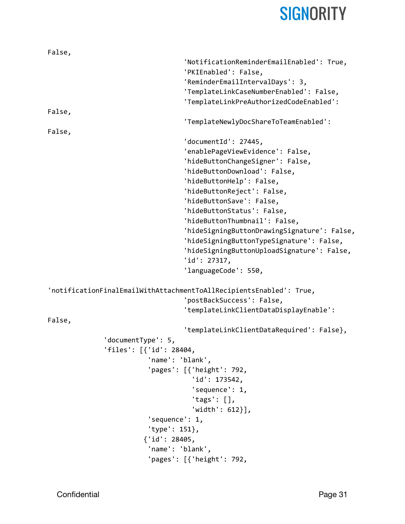| False,                  |                                                                     |
|-------------------------|---------------------------------------------------------------------|
|                         | 'NotificationReminderEmailEnabled': True,                           |
|                         | 'PKIEnabled': False,                                                |
|                         | 'ReminderEmailIntervalDays': 3,                                     |
|                         | 'TemplateLinkCaseNumberEnabled': False,                             |
|                         | 'TemplateLinkPreAuthorizedCodeEnabled':                             |
| False,                  |                                                                     |
|                         | 'TemplateNewlyDocShareToTeamEnabled':                               |
| False,                  |                                                                     |
|                         | 'documentId': 27445,                                                |
|                         | 'enablePageViewEvidence': False,                                    |
|                         | 'hideButtonChangeSigner': False,                                    |
|                         | 'hideButtonDownload': False,                                        |
|                         | 'hideButtonHelp': False,                                            |
|                         | 'hideButtonReject': False,                                          |
|                         | 'hideButtonSave': False,                                            |
|                         | 'hideButtonStatus': False,                                          |
|                         | 'hideButtonThumbnail': False,                                       |
|                         | 'hideSigningButtonDrawingSignature': False,                         |
|                         | 'hideSigningButtonTypeSignature': False,                            |
|                         | 'hideSigningButtonUploadSignature': False,                          |
|                         | 'id': 27317,                                                        |
|                         | 'languageCode': 550,                                                |
|                         |                                                                     |
|                         | 'notificationFinalEmailWithAttachmentToAllRecipientsEnabled': True, |
|                         | 'postBackSuccess': False,                                           |
|                         | 'templateLinkClientDataDisplayEnable':                              |
| False,                  |                                                                     |
|                         | 'templateLinkClientDataRequired': False},                           |
| 'documentType': 5,      |                                                                     |
| 'files': [{'id': 28404, |                                                                     |
|                         | 'name': 'blank',                                                    |
|                         | 'pages': [{'height': 792,                                           |
|                         | 'id': 173542,                                                       |
|                         | 'sequence': 1,                                                      |
|                         | 'tags': $[]$ ,                                                      |
|                         | $'width': 612}.$                                                    |
|                         | 'sequence': 1,                                                      |
|                         | 'type': 151},                                                       |
|                         | ${'id': 28405}$ ,                                                   |
|                         | 'name': 'blank',                                                    |
|                         | 'pages': $[$ {'height': 792,                                        |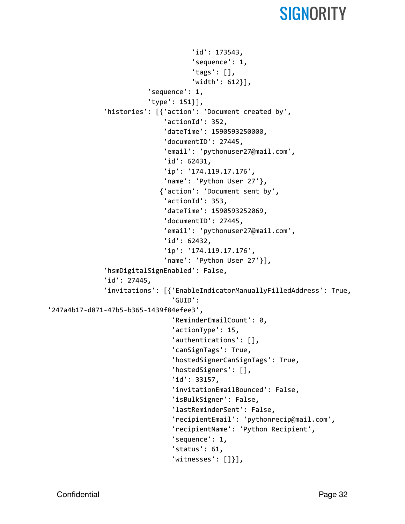```
'id': 173543,
                                     'sequence': 1,
                                     'tags': [],
                                     'width': 612}],
                         'sequence': 1,
                         'type': 151}],
              'histories': [{'action': 'Document created by',
                              'actionId': 352,
                              'dateTime': 1590593250000,
                              'documentID': 27445,
                              'email': 'pythonuser27@mail.com',
                              'id': 62431,
                              'ip': '174.119.17.176',
                              'name': 'Python User 27'},
                            {'action': 'Document sent by',
                              'actionId': 353,
                              'dateTime': 1590593252069,
                              'documentID': 27445,
                              'email': 'pythonuser27@mail.com',
                              'id': 62432,
                              'ip': '174.119.17.176',
                              'name': 'Python User 27'}],
              'hsmDigitalSignEnabled': False,
              'id': 27445,
              'invitations': [{'EnableIndicatorManuallyFilledAddress': True,
                                'GUID':
'247a4b17-d871-47b5-b365-1439f84efee3',
                                'ReminderEmailCount': 0,
                                'actionType': 15,
                                'authentications': [],
                                'canSignTags': True,
                                'hostedSignerCanSignTags': True,
                                'hostedSigners': [],
                                'id': 33157,
                                'invitationEmailBounced': False,
                                'isBulkSigner': False,
                                'lastReminderSent': False,
                                'recipientEmail': 'pythonrecip@mail.com',
                                'recipientName': 'Python Recipient',
                                'sequence': 1,
                                'status': 61,
                                'witnesses': []}],
```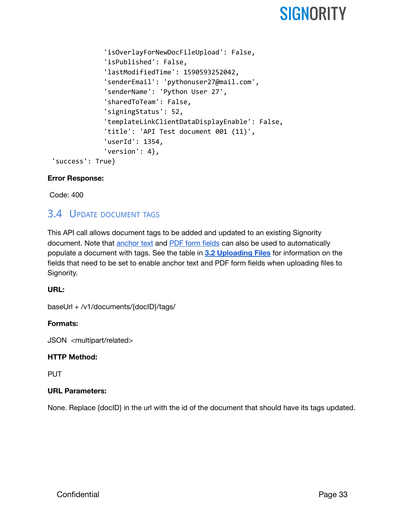```
'isOverlayForNewDocFileUpload': False,
             'isPublished': False,
             'lastModifiedTime': 1590593252042,
             'senderEmail': 'pythonuser27@mail.com',
             'senderName': 'Python User 27',
             'sharedToTeam': False,
             'signingStatus': 52,
             'templateLinkClientDataDisplayEnable': False,
             'title': 'API Test document 001 (11)',
             'userId': 1354,
             'version': 4},
'success': True}
```
#### **Error Response:**

Code: 400

### <span id="page-33-0"></span>3.4 UPDATE DOCUMENT TAGS

This API call allows document tags to be added and updated to an existing Signority document. Note that [anchor](https://www.signority.com/help/use-anchor-text/) text and PDF form [fields](https://www.signority.com/help/import-form-fields-as-tags/) can also be used to automatically populate a document with tags. See the table in **3.2 [Uploading](#page-26-0) Files** for information on the fields that need to be set to enable anchor text and PDF form fields when uploading files to Signority.

#### **URL:**

baseUrl + /v1/documents/{docID}/tags/

#### **Formats:**

JSON <multipart/related>

#### **HTTP Method:**

PUT

#### **URL Parameters:**

None. Replace {docID} in the url with the id of the document that should have its tags updated.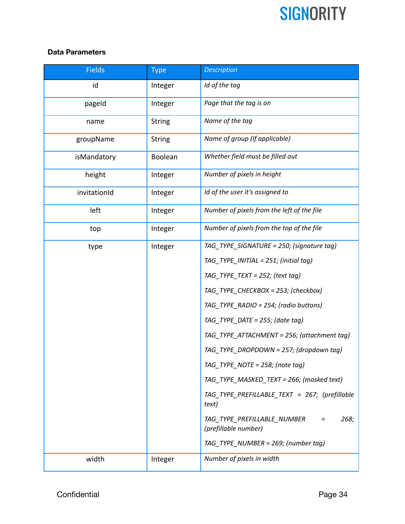#### **Data Parameters**

| <b>Fields</b> | <b>Type</b>   | <b>Description</b>                                          |
|---------------|---------------|-------------------------------------------------------------|
| id            | Integer       | Id of the tag                                               |
| pageld        | Integer       | Page that the tag is on                                     |
| name          | <b>String</b> | Name of the tag                                             |
| groupName     | <b>String</b> | Name of group (If applicable)                               |
| isMandatory   | Boolean       | Whether field must be filled out                            |
| height        | Integer       | Number of pixels in height                                  |
| invitationId  | Integer       | Id of the user it's assigned to                             |
| left          | Integer       | Number of pixels from the left of the file                  |
| top           | Integer       | Number of pixels from the top of the file                   |
| type          | Integer       | TAG_TYPE_SIGNATURE = 250; (signature tag)                   |
|               |               | TAG_TYPE_INITIAL = 251; (initial tag)                       |
|               |               | TAG_TYPE_TEXT = 252; (text tag)                             |
|               |               | TAG_TYPE_CHECKBOX = 253; (checkbox)                         |
|               |               | TAG_TYPE_RADIO = 254; (radio buttons)                       |
|               |               | TAG_TYPE_DATE = 255; (date tag)                             |
|               |               | TAG_TYPE_ATTACHMENT = 256; (attachment tag)                 |
|               |               | TAG_TYPE_DROPDOWN = 257; (dropdown tag)                     |
|               |               | TAG_TYPE_NOTE = 258; (note tag)                             |
|               |               | TAG TYPE MASKED TEXT = 266; (masked text)                   |
|               |               | TAG_TYPE_PREFILLABLE_TEXT = 267; (prefillable<br>text)      |
|               |               | 268;<br>TAG_TYPE_PREFILLABLE_NUMBER<br>(prefillable number) |
|               |               | TAG_TYPE_NUMBER = 269; (number tag)                         |
| width         | Integer       | Number of pixels in width                                   |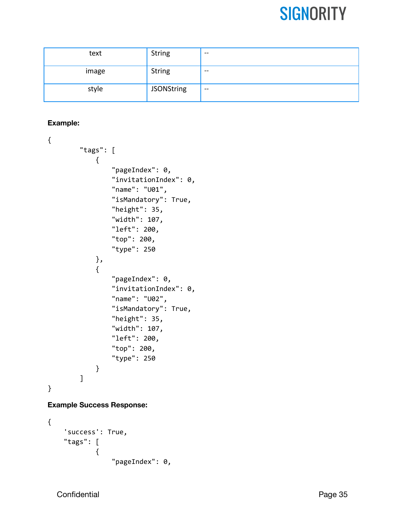| text  | <b>String</b>     | $- -$                               |
|-------|-------------------|-------------------------------------|
| image | <b>String</b>     | $- -$                               |
| style | <b>JSONString</b> | $\hspace{0.04in}$ $\hspace{0.04in}$ |

#### **Example:**

```
{
        "tags": [
            {
                "pageIndex": 0,
                "invitationIndex": 0,
                "name": "U01",
                "isMandatory": True,
                "height": 35,
                "width": 107,
                "left": 200,
                "top": 200,
                "type": 250
            },
            {
                "pageIndex": 0,
                "invitationIndex": 0,
                "name": "U02",
                "isMandatory": True,
                "height": 35,
                "width": 107,
                "left": 200,
                "top": 200,
                "type": 250
            }
        ]
}
```
#### **Example Success Response:**

```
{
    'success': True,
    "tags": [
            {
                 "pageIndex": 0,
```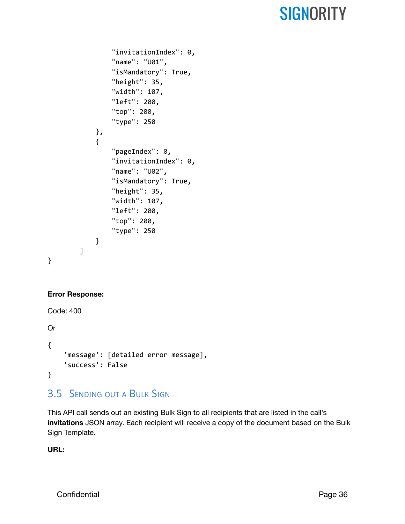```
"invitationIndex": 0,
                 "name": "U01",
                 "isMandatory": True,
                 "height": 35,
                 "width": 107,
                "left": 200,
                 "top": 200,
                 "type": 250
            },
            {
                "pageIndex": 0,
                "invitationIndex": 0,
                "name": "U02",
                "isMandatory": True,
                 "height": 35,
                 "width": 107,
                "left": 200,
                "top": 200,
                "type": 250
            }
        ]
}
```
#### **Error Response:**

```
Code: 400
Or
{
    'message': [detailed error message],
    'success': False
}
```
### <span id="page-36-0"></span>3.5 SENDING OUT <sup>A</sup> BULK SIGN

This API call sends out an existing Bulk Sign to all recipients that are listed in the call's **invitations** JSON array. Each recipient will receive a copy of the document based on the Bulk Sign Template.

**URL:**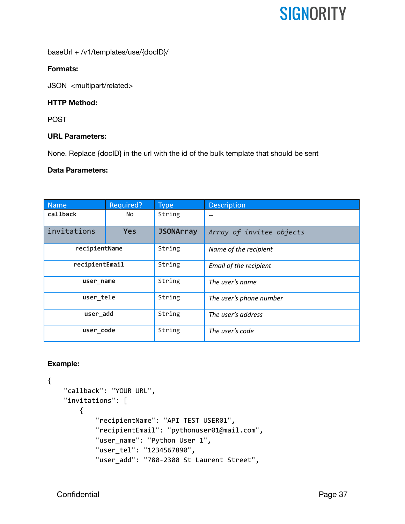baseUrl + /v1/templates/use/{docID}/

#### **Formats:**

JSON <multipart/related>

#### **HTTP Method:**

POST

#### **URL Parameters:**

None. Replace {docID} in the url with the id of the bulk template that should be sent

#### **Data Parameters:**

| <b>Name</b>    | Required?  | <b>Type</b>      | <b>Description</b>       |
|----------------|------------|------------------|--------------------------|
| callback       | No         | String           | --                       |
| invitations    | <b>Yes</b> | <b>JSONArray</b> | Array of invitee objects |
| recipientName  |            | String           | Name of the recipient    |
| recipientEmail |            | String           | Email of the recipient   |
| user name      |            | String           | The user's name          |
| user_tele      |            | String           | The user's phone number  |
| user_add       |            | String           | The user's address       |
| user code      |            | String           | The user's code          |

#### **Example:**

```
{
    "callback": "YOUR URL",
    "invitations": [
        {
            "recipientName": "API TEST USER01",
            "recipientEmail": "pythonuser01@mail.com",
            "user_name": "Python User 1",
            "user_tel": "1234567890",
            "user_add": "780-2300 St Laurent Street",
```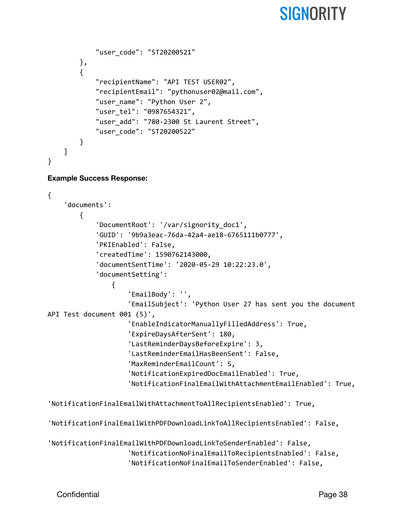```
"user_code": "ST20200521"
        },
        {
            "recipientName": "API TEST USER02",
            "recipientEmail": "pythonuser02@mail.com",
            "user_name": "Python User 2",
            "user_tel": "0987654321",
            "user_add": "780-2300 St Laurent Street",
            "user_code": "ST20200522"
        }
    ]
}
```
#### **Example Success Response:**

```
{
    'documents':
        {
            'DocumentRoot': '/var/signority_doc1',
            'GUID': '9b9a3eac-76da-42a4-ae18-6765111b0777',
            'PKIEnabled': False,
            'createdTime': 1590762143000,
            'documentSentTime': '2020-05-29 10:22:23.0',
            'documentSetting':
                {
                    'EmailBody': '',
                    'EmailSubject': 'Python User 27 has sent you the document
API Test document 001 (5)',
                    'EnableIndicatorManuallyFilledAddress': True,
                    'ExpireDaysAfterSent': 180,
                    'LastReminderDaysBeforeExpire': 3,
                    'LastReminderEmailHasBeenSent': False,
                    'MaxReminderEmailCount': 5,
                    'NotificationExpiredDocEmailEnabled': True,
                    'NotificationFinalEmailWithAttachmentEmailEnabled': True,
'NotificationFinalEmailWithAttachmentToAllRecipientsEnabled': True,
'NotificationFinalEmailWithPDFDownloadLinkToAllRecipientsEnabled': False,
'NotificationFinalEmailWithPDFDownloadLinkToSenderEnabled': False,
                    'NotificationNoFinalEmailToRecipientsEnabled': False,
                    'NotificationNoFinalEmailToSenderEnabled': False,
```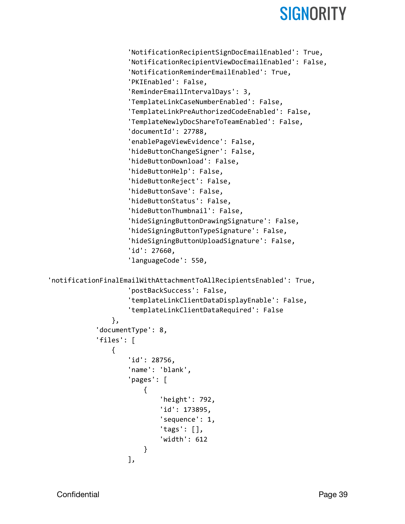```
'NotificationRecipientSignDocEmailEnabled': True,
                    'NotificationRecipientViewDocEmailEnabled': False,
                    'NotificationReminderEmailEnabled': True,
                    'PKIEnabled': False,
                    'ReminderEmailIntervalDays': 3,
                    'TemplateLinkCaseNumberEnabled': False,
                    'TemplateLinkPreAuthorizedCodeEnabled': False,
                    'TemplateNewlyDocShareToTeamEnabled': False,
                    'documentId': 27788,
                    'enablePageViewEvidence': False,
                    'hideButtonChangeSigner': False,
                    'hideButtonDownload': False,
                    'hideButtonHelp': False,
                    'hideButtonReject': False,
                    'hideButtonSave': False,
                    'hideButtonStatus': False,
                    'hideButtonThumbnail': False,
                    'hideSigningButtonDrawingSignature': False,
                    'hideSigningButtonTypeSignature': False,
                    'hideSigningButtonUploadSignature': False,
                    'id': 27660,
                    'languageCode': 550,
'notificationFinalEmailWithAttachmentToAllRecipientsEnabled': True,
                    'postBackSuccess': False,
                    'templateLinkClientDataDisplayEnable': False,
                    'templateLinkClientDataRequired': False
                },
            'documentType': 8,
            'files': [
                {
                    'id': 28756,
                    'name': 'blank',
                    'pages': [
                        {
                            'height': 792,
                            'id': 173895,
                            'sequence': 1,
                            'tags': [],
                            'width': 612
                        }
                    ],
```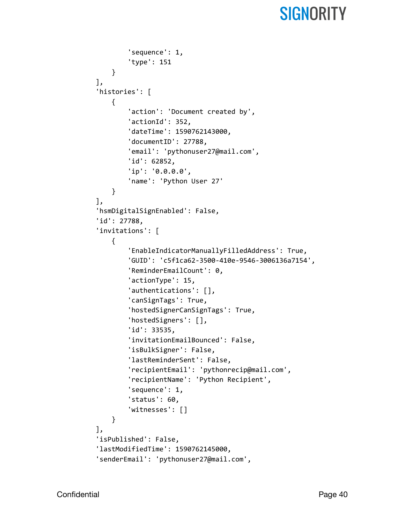```
'sequence': 1,
        'type': 151
    }
],
'histories': [
    {
        'action': 'Document created by',
        'actionId': 352,
        'dateTime': 1590762143000,
        'documentID': 27788,
        'email': 'pythonuser27@mail.com',
        'id': 62852,
        'ip': '0.0.0.0',
        'name': 'Python User 27'
    }
],
'hsmDigitalSignEnabled': False,
'id': 27788,
'invitations': [
    {
        'EnableIndicatorManuallyFilledAddress': True,
        'GUID': 'c5f1ca62-3500-410e-9546-3006136a7154',
        'ReminderEmailCount': 0,
        'actionType': 15,
        'authentications': [],
        'canSignTags': True,
        'hostedSignerCanSignTags': True,
        'hostedSigners': [],
        'id': 33535,
        'invitationEmailBounced': False,
        'isBulkSigner': False,
        'lastReminderSent': False,
        'recipientEmail': 'pythonrecip@mail.com',
        'recipientName': 'Python Recipient',
        'sequence': 1,
        'status': 60,
        'witnesses': []
    }
],
'isPublished': False,
'lastModifiedTime': 1590762145000,
'senderEmail': 'pythonuser27@mail.com',
```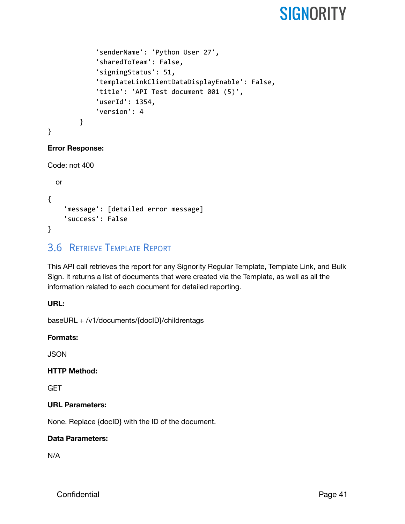```
'senderName': 'Python User 27',
    'sharedToTeam': False,
    'signingStatus': 51,
    'templateLinkClientDataDisplayEnable': False,
    'title': 'API Test document 001 (5)',
    'userId': 1354,
    'version': 4
}
```

```
}
```
#### **Error Response:**

```
Code: not 400
```

```
or
{
    'message': [detailed error message]
    'success': False
}
```
### <span id="page-41-0"></span>3.6 RETRIEVE TEMPLATE REPORT

This API call retrieves the report for any Signority Regular Template, Template Link, and Bulk Sign. It returns a list of documents that were created via the Template, as well as all the information related to each document for detailed reporting.

#### **URL:**

baseURL + /v1/documents/{docID}/childrentags

#### **Formats:**

JSON

#### **HTTP Method:**

**GET** 

#### **URL Parameters:**

None. Replace {docID} with the ID of the document.

#### **Data Parameters:**

N/A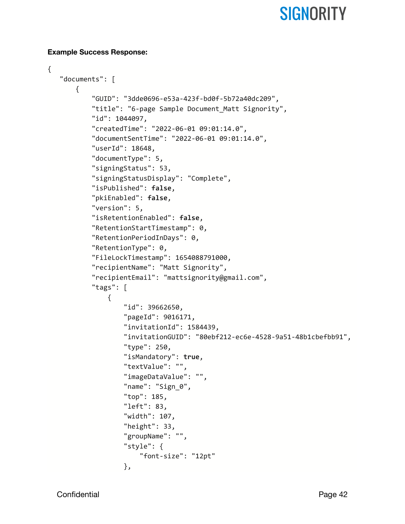#### **Example Success Response:**

```
{
   "documents": [
       {
           "GUID": "3dde0696-e53a-423f-bd0f-5b72a40dc209",
           "title": "6-page Sample Document_Matt Signority",
           "id": 1044097,
           "createdTime": "2022-06-01 09:01:14.0",
           "documentSentTime": "2022-06-01 09:01:14.0",
           "userId": 18648,
           "documentType": 5,
           "signingStatus": 53,
           "signingStatusDisplay": "Complete",
           "isPublished": false,
           "pkiEnabled": false,
           "version": 5,
           "isRetentionEnabled": false,
           "RetentionStartTimestamp": 0,
           "RetentionPeriodInDays": 0,
           "RetentionType": 0,
           "FileLockTimestamp": 1654088791000,
           "recipientName": "Matt Signority",
           "recipientEmail": "mattsignority@gmail.com",
           "tags": [
               {
                   "id": 39662650,
                   "pageId": 9016171,
                   "invitationId": 1584439,
                   "invitationGUID": "80ebf212-ec6e-4528-9a51-48b1cbefbb91",
                   "type": 250,
                   "isMandatory": true,
                   "textValue": "",
                   "imageDataValue": "",
                   "name": "Sign_0",
                   "top": 185,
                   "left": 83,
                   "width": 107,
                   "height": 33,
                   "groupName": "",
                   "style": {
                       "font-size": "12pt"
                   },
```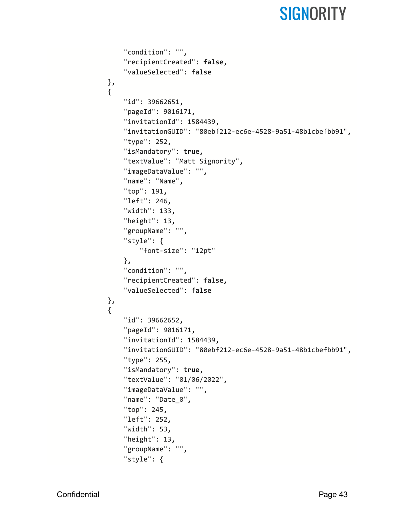```
"condition": "",
    "recipientCreated": false,
    "valueSelected": false
},
{
    "id": 39662651,
    "pageId": 9016171,
    "invitationId": 1584439,
    "invitationGUID": "80ebf212-ec6e-4528-9a51-48b1cbefbb91",
    "type": 252,
    "isMandatory": true,
    "textValue": "Matt Signority",
    "imageDataValue": "",
    "name": "Name",
    "top": 191,
    "left": 246,
    "width": 133,
    "height": 13,
    "groupName": "",
    "style": {
        "font-size": "12pt"
    },
    "condition": "",
    "recipientCreated": false,
    "valueSelected": false
},
{
    "id": 39662652,
    "pageId": 9016171,
    "invitationId": 1584439,
    "invitationGUID": "80ebf212-ec6e-4528-9a51-48b1cbefbb91",
    "type": 255,
    "isMandatory": true,
    "textValue": "01/06/2022",
    "imageDataValue": "",
    "name": "Date_0",
    "top": 245,
    "left": 252,
    "width": 53,
    "height": 13,
    "groupName": "",
    "style": {
```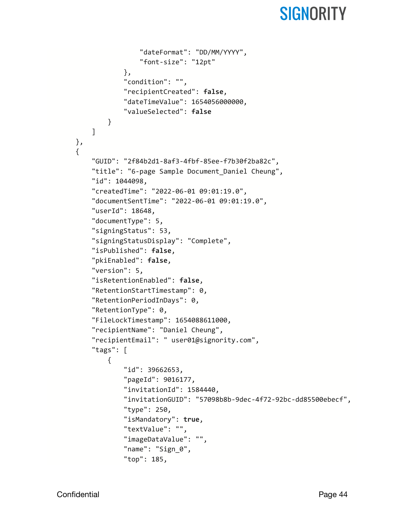```
"dateFormat": "DD/MM/YYYY",
                "font-size": "12pt"
            },
            "condition": "",
            "recipientCreated": false,
            "dateTimeValue": 1654056000000,
            "valueSelected": false
        }
   ]
},
{
    "GUID": "2f84b2d1-8af3-4fbf-85ee-f7b30f2ba82c",
    "title": "6-page Sample Document_Daniel Cheung",
    "id": 1044098,
    "createdTime": "2022-06-01 09:01:19.0",
    "documentSentTime": "2022-06-01 09:01:19.0",
    "userId": 18648,
    "documentType": 5,
    "signingStatus": 53,
    "signingStatusDisplay": "Complete",
    "isPublished": false,
    "pkiEnabled": false,
    "version": 5,
    "isRetentionEnabled": false,
    "RetentionStartTimestamp": 0,
    "RetentionPeriodInDays": 0,
    "RetentionType": 0,
    "FileLockTimestamp": 1654088611000,
    "recipientName": "Daniel Cheung",
    "recipientEmail": " user01@signority.com",
    "tags": [
        {
            "id": 39662653,
            "pageId": 9016177,
            "invitationId": 1584440,
            "invitationGUID": "57098b8b-9dec-4f72-92bc-dd85500ebecf",
            "type": 250,
            "isMandatory": true,
            "textValue": "",
            "imageDataValue": "",
            "name": "Sign_0",
            "top": 185,
```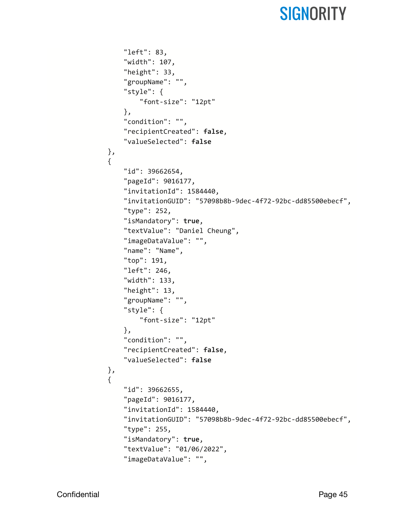```
"left": 83,
    "width": 107,
    "height": 33,
    "groupName": "",
    "style": {
        "font-size": "12pt"
    },
    "condition": "",
    "recipientCreated": false,
    "valueSelected": false
},
{
    "id": 39662654,
    "pageId": 9016177,
    "invitationId": 1584440,
    "invitationGUID": "57098b8b-9dec-4f72-92bc-dd85500ebecf",
    "type": 252,
    "isMandatory": true,
    "textValue": "Daniel Cheung",
    "imageDataValue": "",
    "name": "Name",
    "top": 191,
    "left": 246,
    "width": 133,
    "height": 13,
    "groupName": "",
    "style": {
        "font-size": "12pt"
    },
    "condition": "",
    "recipientCreated": false,
    "valueSelected": false
},
{
    "id": 39662655,
    "pageId": 9016177,
    "invitationId": 1584440,
    "invitationGUID": "57098b8b-9dec-4f72-92bc-dd85500ebecf",
    "type": 255,
    "isMandatory": true,
    "textValue": "01/06/2022",
    "imageDataValue": "",
```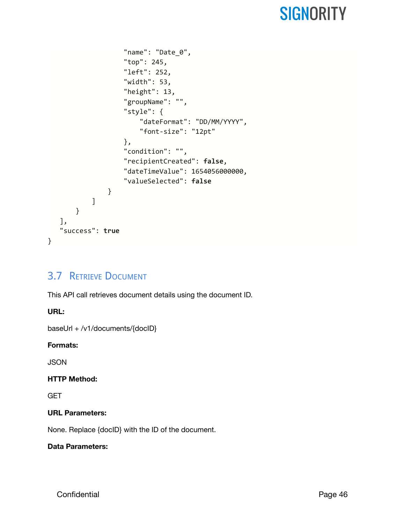```
"name": "Date_0",
                    "top": 245,
                    "left": 252,
                    "width": 53,
                    "height": 13,
                    "groupName": "",
                    "style": {
                        "dateFormat": "DD/MM/YYYY",
                       "font-size": "12pt"
                   },
                    "condition": "",
                    "recipientCreated": false,
                    "dateTimeValue": 1654056000000,
                   "valueSelected": false
               }
           ]
       }
   ],
   "success": true
}
```
### <span id="page-46-0"></span>3.7 RETRIEVE DOCUMENT

This API call retrieves document details using the document ID.

**URL:**

baseUrl + /v1/documents/{docID}

#### **Formats:**

**JSON** 

#### **HTTP Method:**

**GET** 

#### **URL Parameters:**

None. Replace {docID} with the ID of the document.

#### **Data Parameters:**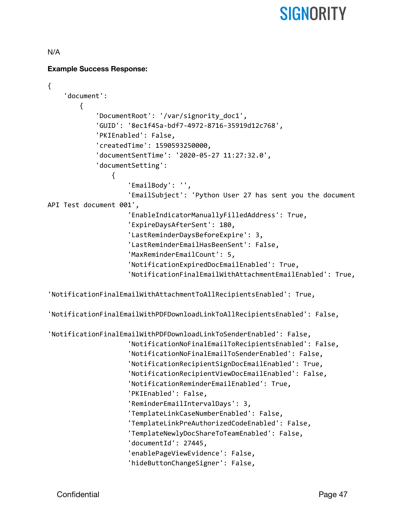#### N/A

#### **Example Success Response:**

```
{
    'document':
        {
            'DocumentRoot': '/var/signority_doc1',
            'GUID': '8ec1f45a-bdf7-4972-8716-35919d12c768',
            'PKIEnabled': False,
            'createdTime': 1590593250000,
            'documentSentTime': '2020-05-27 11:27:32.0',
            'documentSetting':
                {
                    'EmailBody': '',
                    'EmailSubject': 'Python User 27 has sent you the document
API Test document 001',
                    'EnableIndicatorManuallyFilledAddress': True,
                    'ExpireDaysAfterSent': 180,
                    'LastReminderDaysBeforeExpire': 3,
                    'LastReminderEmailHasBeenSent': False,
                    'MaxReminderEmailCount': 5,
                    'NotificationExpiredDocEmailEnabled': True,
                    'NotificationFinalEmailWithAttachmentEmailEnabled': True,
'NotificationFinalEmailWithAttachmentToAllRecipientsEnabled': True,
'NotificationFinalEmailWithPDFDownloadLinkToAllRecipientsEnabled': False,
'NotificationFinalEmailWithPDFDownloadLinkToSenderEnabled': False,
                    'NotificationNoFinalEmailToRecipientsEnabled': False,
                    'NotificationNoFinalEmailToSenderEnabled': False,
                    'NotificationRecipientSignDocEmailEnabled': True,
                    'NotificationRecipientViewDocEmailEnabled': False,
                    'NotificationReminderEmailEnabled': True,
                    'PKIEnabled': False,
                    'ReminderEmailIntervalDays': 3,
                    'TemplateLinkCaseNumberEnabled': False,
                    'TemplateLinkPreAuthorizedCodeEnabled': False,
                    'TemplateNewlyDocShareToTeamEnabled': False,
                    'documentId': 27445,
                    'enablePageViewEvidence': False,
                    'hideButtonChangeSigner': False,
```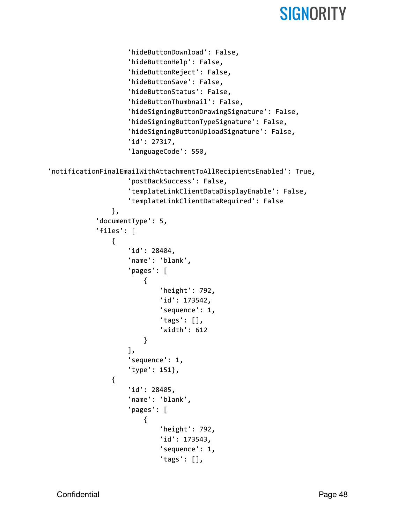```
'hideButtonDownload': False,
                    'hideButtonHelp': False,
                    'hideButtonReject': False,
                    'hideButtonSave': False,
                    'hideButtonStatus': False,
                    'hideButtonThumbnail': False,
                    'hideSigningButtonDrawingSignature': False,
                    'hideSigningButtonTypeSignature': False,
                    'hideSigningButtonUploadSignature': False,
                    'id': 27317,
                    'languageCode': 550,
'notificationFinalEmailWithAttachmentToAllRecipientsEnabled': True,
                    'postBackSuccess': False,
                    'templateLinkClientDataDisplayEnable': False,
                    'templateLinkClientDataRequired': False
                },
            'documentType': 5,
            'files': [
                {
                    'id': 28404,
                    'name': 'blank',
                    'pages': [
                        {
                            'height': 792,
                            'id': 173542,
                             'sequence': 1,
                             'tags': [],
                             'width': 612
                        }
                    ],
                    'sequence': 1,
                    'type': 151},
                {
                    'id': 28405,
                    'name': 'blank',
                    'pages': [
                        {
                             'height': 792,
                            'id': 173543,
                             'sequence': 1,
                             'tags': [],
```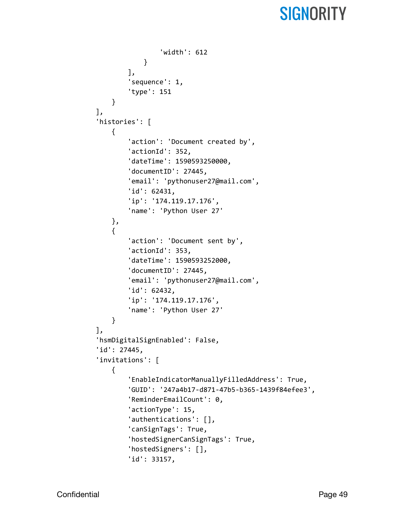```
'width': 612
            }
        ],
        'sequence': 1,
        'type': 151
    }
],
'histories': [
    {
        'action': 'Document created by',
        'actionId': 352,
        'dateTime': 1590593250000,
        'documentID': 27445,
        'email': 'pythonuser27@mail.com',
        'id': 62431,
        'ip': '174.119.17.176',
        'name': 'Python User 27'
    },
    {
        'action': 'Document sent by',
        'actionId': 353,
        'dateTime': 1590593252000,
        'documentID': 27445,
        'email': 'pythonuser27@mail.com',
        'id': 62432,
        'ip': '174.119.17.176',
        'name': 'Python User 27'
    }
],
'hsmDigitalSignEnabled': False,
'id': 27445,
'invitations': [
    {
        'EnableIndicatorManuallyFilledAddress': True,
        'GUID': '247a4b17-d871-47b5-b365-1439f84efee3',
        'ReminderEmailCount': 0,
        'actionType': 15,
        'authentications': [],
        'canSignTags': True,
        'hostedSignerCanSignTags': True,
        'hostedSigners': [],
        'id': 33157,
```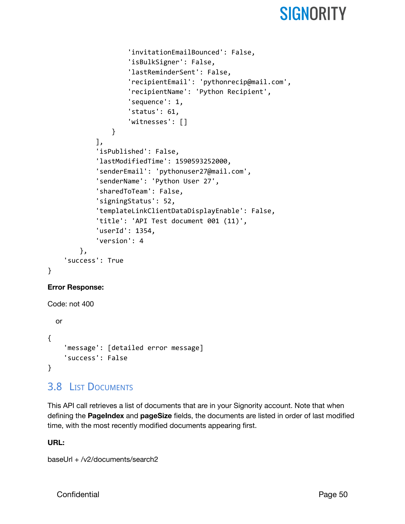```
'invitationEmailBounced': False,
                     'isBulkSigner': False,
                     'lastReminderSent': False,
                     'recipientEmail': 'pythonrecip@mail.com',
                     'recipientName': 'Python Recipient',
                     'sequence': 1,
                     'status': 61,
                     'witnesses': []
                }
            ],
            'isPublished': False,
            'lastModifiedTime': 1590593252000,
            'senderEmail': 'pythonuser27@mail.com',
            'senderName': 'Python User 27',
            'sharedToTeam': False,
            'signingStatus': 52,
            'templateLinkClientDataDisplayEnable': False,
            'title': 'API Test document 001 (11)',
            'userId': 1354,
            'version': 4
        },
    'success': True
}
```
#### **Error Response:**

```
Code: not 400
 or
{
    'message': [detailed error message]
    'success': False
}
```
### <span id="page-50-0"></span>3.8 LIST DOCUMENTS

This API call retrieves a list of documents that are in your Signority account. Note that when defining the **PageIndex** and **pageSize** fields, the documents are listed in order of last modified time, with the most recently modified documents appearing first.

#### **URL:**

baseUrl + /v2/documents/search2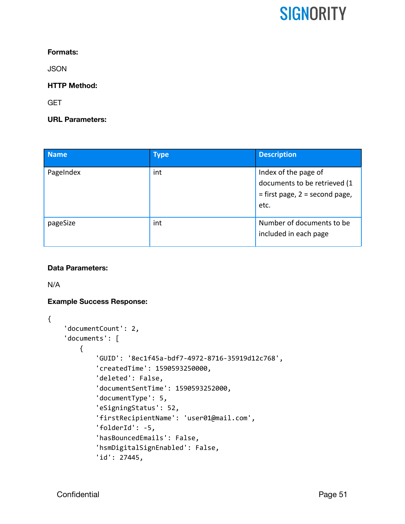#### **Formats:**

**JSON** 

#### **HTTP Method:**

**GET** 

#### **URL Parameters:**

| <b>Name</b> | <b>Type</b> | <b>Description</b>                                                                                 |
|-------------|-------------|----------------------------------------------------------------------------------------------------|
| PageIndex   | int         | Index of the page of<br>documents to be retrieved (1<br>$=$ first page, $2 =$ second page,<br>etc. |
| pageSize    | int         | Number of documents to be<br>included in each page                                                 |

#### **Data Parameters:**

N/A

#### **Example Success Response:**

```
{
    'documentCount': 2,
    'documents': [
        {
            'GUID': '8ec1f45a-bdf7-4972-8716-35919d12c768',
            'createdTime': 1590593250000,
            'deleted': False,
            'documentSentTime': 1590593252000,
            'documentType': 5,
            'eSigningStatus': 52,
            'firstRecipientName': 'user01@mail.com',
            'folderId': -5,
            'hasBouncedEmails': False,
            'hsmDigitalSignEnabled': False,
            'id': 27445,
```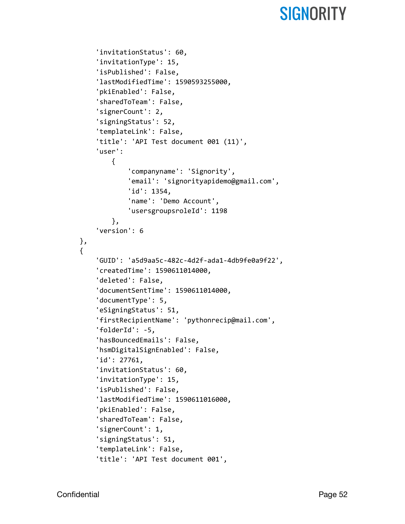```
'invitationStatus': 60,
    'invitationType': 15,
    'isPublished': False,
    'lastModifiedTime': 1590593255000,
    'pkiEnabled': False,
    'sharedToTeam': False,
    'signerCount': 2,
    'signingStatus': 52,
    'templateLink': False,
    'title': 'API Test document 001 (11)',
    'user':
        {
            'companyname': 'Signority',
            'email': 'signorityapidemo@gmail.com',
            'id': 1354,
            'name': 'Demo Account',
            'usersgroupsroleId': 1198
        },
    'version': 6
},
{
    'GUID': 'a5d9aa5c-482c-4d2f-ada1-4db9fe0a9f22',
    'createdTime': 1590611014000,
    'deleted': False,
    'documentSentTime': 1590611014000,
    'documentType': 5,
    'eSigningStatus': 51,
    'firstRecipientName': 'pythonrecip@mail.com',
    'folderId': -5,
    'hasBouncedEmails': False,
    'hsmDigitalSignEnabled': False,
    'id': 27761,
    'invitationStatus': 60,
    'invitationType': 15,
    'isPublished': False,
    'lastModifiedTime': 1590611016000,
    'pkiEnabled': False,
    'sharedToTeam': False,
    'signerCount': 1,
    'signingStatus': 51,
    'templateLink': False,
    'title': 'API Test document 001',
```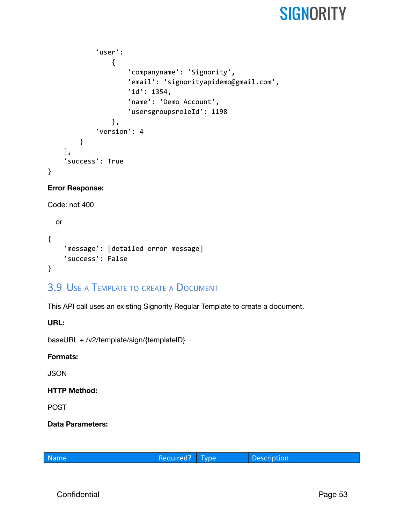```
'user':
                {
                     'companyname': 'Signority',
                     'email': 'signorityapidemo@gmail.com',
                     'id': 1354,
                     'name': 'Demo Account',
                     'usersgroupsroleId': 1198
                },
            'version': 4
        }
    ],
    'success': True
}
```
#### **Error Response:**

```
Code: not 400
```

```
or
{
    'message': [detailed error message]
    'success': False
}
```
### <span id="page-53-0"></span>3.9 USE A TEMPLATE TO CREATE A DOCUMENT

This API call uses an existing Signority Regular Template to create a document.

**URL:**

baseURL + /v2/template/sign/{templateID}

#### **Formats:**

**JSON** 

#### **HTTP Method:**

POST

**Data Parameters:**

|  | Name |
|--|------|
|  |      |
|  |      |

Required? Type Description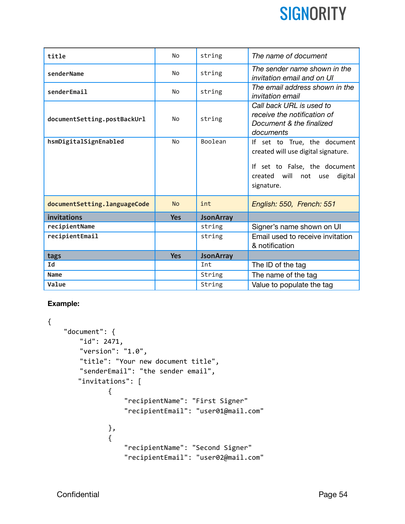| title                        | <b>No</b>  | string           | The name of document                                                                                                                                  |
|------------------------------|------------|------------------|-------------------------------------------------------------------------------------------------------------------------------------------------------|
| senderName                   | <b>No</b>  | string           | The sender name shown in the<br>invitation email and on UI                                                                                            |
| senderEmail                  | No         | string           | The email address shown in the<br><i>invitation email</i>                                                                                             |
| documentSetting.postBackUrl  | <b>No</b>  | string           | Call back URL is used to<br>receive the notification of<br>Document & the finalized<br>documents                                                      |
| hsmDigitalSignEnabled        | <b>No</b>  | Boolean          | If set to True, the document<br>created will use digital signature.<br>If set to False, the document<br>created will not use<br>digital<br>signature. |
|                              |            |                  |                                                                                                                                                       |
| documentSetting.languageCode | <b>No</b>  | int              | English: 550, French: 551                                                                                                                             |
| invitations                  | <b>Yes</b> | <b>JsonArray</b> |                                                                                                                                                       |
| recipientName                |            | string           | Signer's name shown on UI                                                                                                                             |
| recipientEmail               |            | string           | Email used to receive invitation<br>& notification                                                                                                    |
| tags                         | <b>Yes</b> | <b>JsonArray</b> |                                                                                                                                                       |
| Id                           |            | Int              | The ID of the tag                                                                                                                                     |
| Name                         |            | String           | The name of the tag                                                                                                                                   |

#### **Example:**

```
{
    "document": {
        "id": 2471,
        "version": "1.0",
        "title": "Your new document title",
        "senderEmail": "the sender email",
       "invitations": [
               {
                   "recipientName": "First Signer"
                   "recipientEmail": "user01@mail.com"
               },
               {
                   "recipientName": "Second Signer"
                   "recipientEmail": "user02@mail.com"
```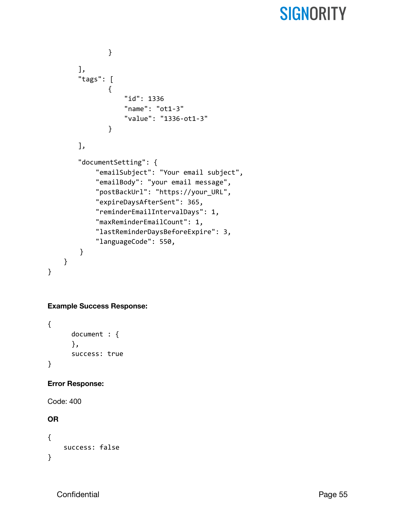```
}
   ],
   "tags": [
           {
               "id": 1336
               "name": "ot1-3"
               "value": "1336-ot1-3"
           }
   ],
   "documentSetting": {
        "emailSubject": "Your email subject",
        "emailBody": "your email message",
        "postBackUrl": "https://your_URL",
        "expireDaysAfterSent": 365,
        "reminderEmailIntervalDays": 1,
        "maxReminderEmailCount": 1,
        "lastReminderDaysBeforeExpire": 3,
        "languageCode": 550,
    }
}
```
#### **Example Success Response:**

```
{
      document : {
      },
      success: true
}
```
#### **Error Response:**

Code: 400

#### **OR**

}

```
{
    success: false
}
```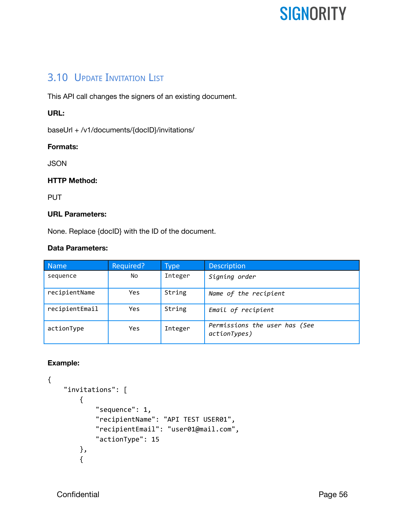### <span id="page-56-0"></span>3.10 UPDATE INVITATION LIST

This API call changes the signers of an existing document.

#### **URL:**

baseUrl + /v1/documents/{docID}/invitations/

#### **Formats:**

**JSON** 

#### **HTTP Method:**

**PUT** 

#### **URL Parameters:**

None. Replace {docID} with the ID of the document.

#### **Data Parameters:**

| <b>Name</b>    | Required?  | <b>Type</b> | <b>Description</b>                            |
|----------------|------------|-------------|-----------------------------------------------|
| sequence       | No         | Integer     | Signing order                                 |
| recipientName  | Yes        | String      | Name of the recipient                         |
| recipientEmail | Yes        | String      | Email of recipient                            |
| actionType     | <b>Yes</b> | Integer     | Permissions the user has (See<br>actionTypes) |

#### **Example:**

```
{
    "invitations": [
        {
            "sequence": 1,
            "recipientName": "API TEST USER01",
            "recipientEmail": "user01@mail.com",
            "actionType": 15
        },
        {
```
Confidential **Page 56**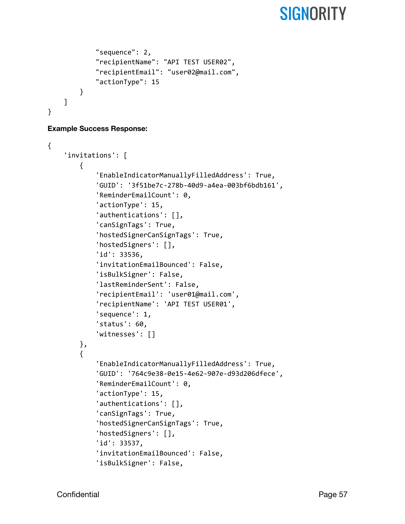```
"sequence": 2,
            "recipientName": "API TEST USER02",
            "recipientEmail": "user02@mail.com",
            "actionType": 15
        }
    ]
}
```
#### **Example Success Response:**

```
{
    'invitations': [
        {
            'EnableIndicatorManuallyFilledAddress': True,
            'GUID': '3f51be7c-278b-40d9-a4ea-003bf6bdb161',
            'ReminderEmailCount': 0,
            'actionType': 15,
            'authentications': [],
            'canSignTags': True,
            'hostedSignerCanSignTags': True,
            'hostedSigners': [],
            'id': 33536,
            'invitationEmailBounced': False,
            'isBulkSigner': False,
            'lastReminderSent': False,
            'recipientEmail': 'user01@mail.com',
            'recipientName': 'API TEST USER01',
            'sequence': 1,
            'status': 60,
            'witnesses': []
        },
        {
            'EnableIndicatorManuallyFilledAddress': True,
            'GUID': '764c9e38-0e15-4e62-907e-d93d206dfece',
            'ReminderEmailCount': 0,
            'actionType': 15,
            'authentications': [],
            'canSignTags': True,
            'hostedSignerCanSignTags': True,
            'hostedSigners': [],
            'id': 33537,
            'invitationEmailBounced': False,
            'isBulkSigner': False,
```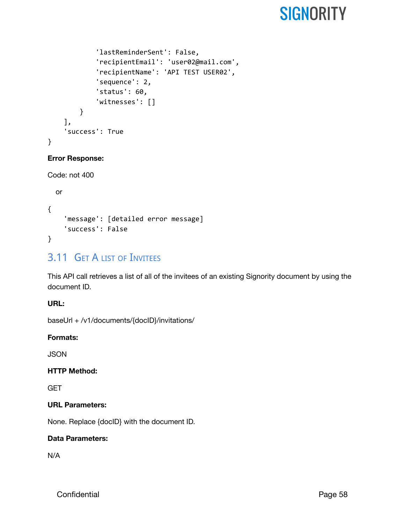```
'lastReminderSent': False,
            'recipientEmail': 'user02@mail.com',
            'recipientName': 'API TEST USER02',
            'sequence': 2,
            'status': 60,
            'witnesses': []
        }
    ],
    'success': True
}
```
#### **Error Response:**

```
Code: not 400
```

```
or
{
    'message': [detailed error message]
    'success': False
}
```
### <span id="page-58-0"></span>3.11 GET A LIST OF INVITEES

This API call retrieves a list of all of the invitees of an existing Signority document by using the document ID.

#### **URL:**

baseUrl + /v1/documents/{docID}/invitations/

#### **Formats:**

**JSON** 

#### **HTTP Method:**

**GET** 

#### **URL Parameters:**

None. Replace {docID} with the document ID.

#### **Data Parameters:**

N/A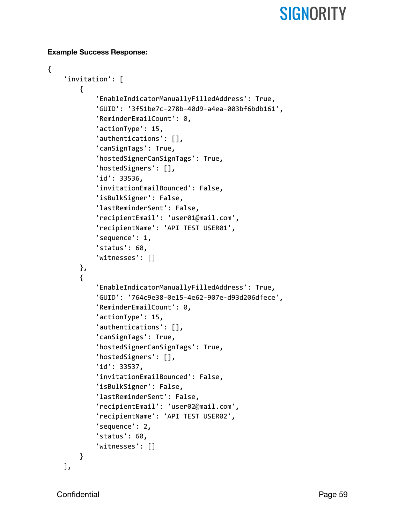#### **Example Success Response:**

```
{
    'invitation': [
        {
            'EnableIndicatorManuallyFilledAddress': True,
            'GUID': '3f51be7c-278b-40d9-a4ea-003bf6bdb161',
            'ReminderEmailCount': 0,
            'actionType': 15,
            'authentications': [],
            'canSignTags': True,
            'hostedSignerCanSignTags': True,
            'hostedSigners': [],
            'id': 33536,
            'invitationEmailBounced': False,
            'isBulkSigner': False,
            'lastReminderSent': False,
            'recipientEmail': 'user01@mail.com',
            'recipientName': 'API TEST USER01',
            'sequence': 1,
            'status': 60,
            'witnesses': []
        },
        {
            'EnableIndicatorManuallyFilledAddress': True,
            'GUID': '764c9e38-0e15-4e62-907e-d93d206dfece',
            'ReminderEmailCount': 0,
            'actionType': 15,
            'authentications': [],
            'canSignTags': True,
            'hostedSignerCanSignTags': True,
            'hostedSigners': [],
            'id': 33537,
            'invitationEmailBounced': False,
            'isBulkSigner': False,
            'lastReminderSent': False,
            'recipientEmail': 'user02@mail.com',
            'recipientName': 'API TEST USER02',
            'sequence': 2,
            'status': 60,
            'witnesses': []
        }
    ],
```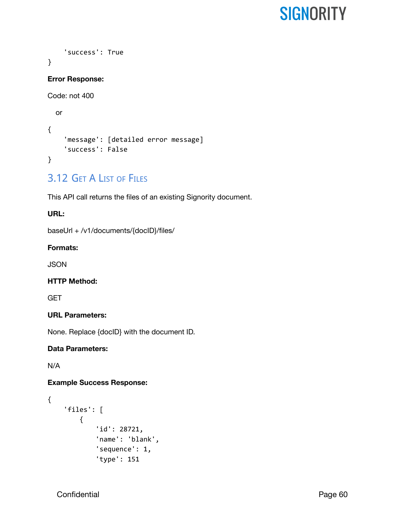```
'success': True
}
Error Response:
Code: not 400
  or
{
    'message': [detailed error message]
    'success': False
}
```
### <span id="page-60-0"></span>3.12 GET A LIST OF FILES

This API call returns the files of an existing Signority document.

#### **URL:**

baseUrl + /v1/documents/{docID}/files/

#### **Formats:**

**JSON** 

#### **HTTP Method:**

**GET** 

#### **URL Parameters:**

None. Replace {docID} with the document ID.

#### **Data Parameters:**

N/A

#### **Example Success Response:**

```
{
    'files': [
        {
            'id': 28721,
             'name': 'blank',
             'sequence': 1,
             'type': 151
```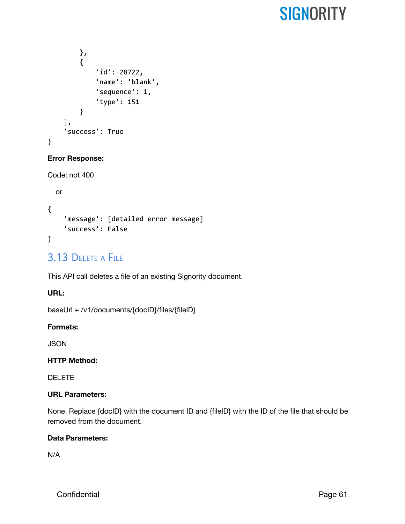```
},
        {
             'id': 28722,
             'name': 'blank',
             'sequence': 1,
             'type': 151
        }
    ],
    'success': True
}
```
#### **Error Response:**

```
Code: not 400
```

```
or
{
    'message': [detailed error message]
    'success': False
}
```
### <span id="page-61-0"></span>3.13 DELETE A FILE

This API call deletes a file of an existing Signority document.

#### **URL:**

baseUrl + /v1/documents/{docID}/files/{fileID}

#### **Formats:**

**JSON** 

#### **HTTP Method:**

DELETE

#### **URL Parameters:**

None. Replace {docID} with the document ID and {fileID} with the ID of the file that should be removed from the document.

#### **Data Parameters:**

N/A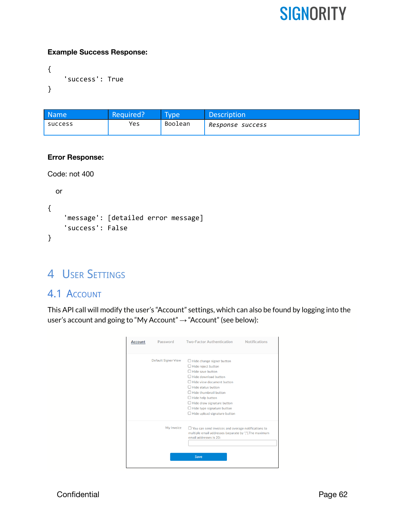#### **Example Success Response:**

```
{
    'success': True
}
```

| <b>Name</b> | Required? | <b>Type</b> | <b>Description</b> |
|-------------|-----------|-------------|--------------------|
| success     | Yes       | Boolean     | Response success   |

#### **Error Response:**

```
Code: not 400
```

```
or
{
    'message': [detailed error message]
    'success': False
}
```
### <span id="page-62-0"></span>4 USER SETTINGS

### <span id="page-62-1"></span>4.1 ACCOUNT

This API call will modify the user's "Account" settings, which can also be found by logging into the user's account and going to "My Account" → "Account" (see below):

| <b>Account</b> | Password                   | <b>Two-Factor Authentication</b><br><b>Notifications</b>                                                                                                                                                                                                                                                                                        |
|----------------|----------------------------|-------------------------------------------------------------------------------------------------------------------------------------------------------------------------------------------------------------------------------------------------------------------------------------------------------------------------------------------------|
|                | <b>Default Signer View</b> | $\Box$ Hide change signer button<br>$\Box$ Hide reject button<br>Hide save button<br>$\Box$ Hide download button<br>Hide view document button<br>$\Box$ Hide status button<br>Hide thumbnail button<br>$\Box$ Hide help button<br>$\Box$ Hide draw signature button<br>$\Box$ Hide type signature button<br>$\Box$ Hide upload signature button |
|                | My Invoice                 | $\Box$ You can send invoices and overage notifications to<br>multiple email addresses (separate by ","), The maximum<br>email addresses is 20:<br>Save                                                                                                                                                                                          |

Confidential Page 62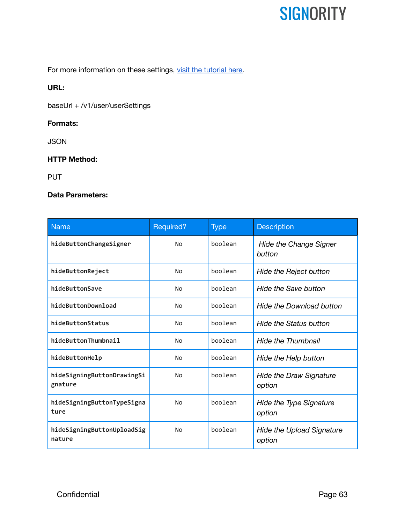For more information on these settings, visit the [tutorial](https://www.signority.com/help/advanced-recipient-controls-with-signer-views/) here.

#### **URL:**

baseUrl + /v1/user/userSettings

#### **Formats:**

JSON

#### **HTTP Method:**

PUT

#### **Data Parameters:**

| <b>Name</b>                           | Required? | <b>Type</b> | <b>Description</b>                         |
|---------------------------------------|-----------|-------------|--------------------------------------------|
| hideButtonChangeSigner                | No        | boolean     | <b>Hide the Change Signer</b><br>button    |
| hideButtonReject                      | No        | boolean     | <b>Hide the Reject button</b>              |
| hideButtonSave                        | No        | boolean     | Hide the Save button                       |
| hideButtonDownload                    | <b>No</b> | boolean     | <b>Hide the Download button</b>            |
| hideButtonStatus                      | <b>No</b> | boolean     | <b>Hide the Status button</b>              |
| hideButtonThumbnail                   | <b>No</b> | boolean     | <b>Hide the Thumbnail</b>                  |
| hideButtonHelp                        | No        | boolean     | Hide the Help button                       |
| hideSigningButtonDrawingSi<br>gnature | No        | boolean     | <b>Hide the Draw Signature</b><br>option   |
| hideSigningButtonTypeSigna<br>ture    | <b>No</b> | boolean     | <b>Hide the Type Signature</b><br>option   |
| hideSigningButtonUploadSig<br>nature  | No        | boolean     | <b>Hide the Upload Signature</b><br>option |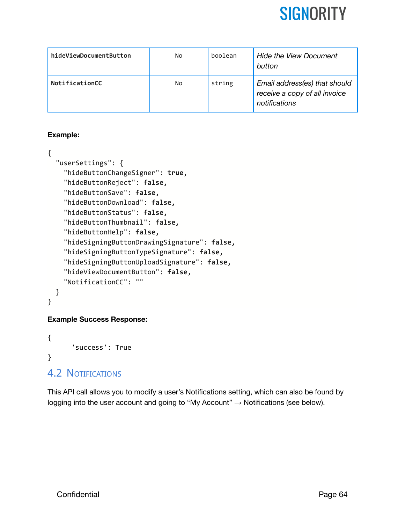

| hideViewDocumentButton | No | boolean | <b>Hide the View Document</b><br>button                                         |
|------------------------|----|---------|---------------------------------------------------------------------------------|
| NotificationCC         | No | string  | Email address(es) that should<br>receive a copy of all invoice<br>notifications |

#### **Example:**

```
{
  "userSettings": {
    "hideButtonChangeSigner": true,
    "hideButtonReject": false,
    "hideButtonSave": false,
    "hideButtonDownload": false,
    "hideButtonStatus": false,
    "hideButtonThumbnail": false,
    "hideButtonHelp": false,
    "hideSigningButtonDrawingSignature": false,
    "hideSigningButtonTypeSignature": false,
    "hideSigningButtonUploadSignature": false,
    "hideViewDocumentButton": false,
    "NotificationCC": ""
  }
}
```
#### **Example Success Response:**

```
{
      'success': True
}
```
### <span id="page-64-0"></span>4.2 NOTIFICATIONS

This API call allows you to modify a user's Notifications setting, which can also be found by logging into the user account and going to "My Account"  $\rightarrow$  Notifications (see below).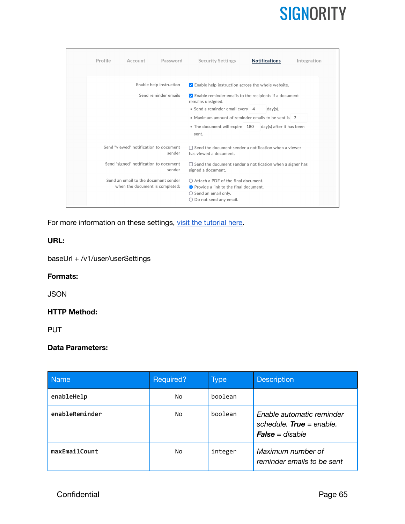| Profile<br>Account<br>Password                                          | <b>Notifications</b><br><b>Security Settings</b><br>Integration                                                                                                 |
|-------------------------------------------------------------------------|-----------------------------------------------------------------------------------------------------------------------------------------------------------------|
| Enable help instruction                                                 | $\vee$ Enable help instruction across the whole website.                                                                                                        |
| Send reminder emails                                                    | $\vee$ Enable reminder emails to the recipients if a document<br>remains unsigned.<br>• Send a reminder email every 4<br>$day(s)$ .                             |
|                                                                         | • Maximum amount of reminder emails to be sent is 2                                                                                                             |
|                                                                         | • The document will expire 180<br>day(s) after it has been<br>sent.                                                                                             |
| Send "viewed" notification to document<br>sender                        | $\Box$ Send the document sender a notification when a viewer<br>has viewed a document.                                                                          |
| Send "signed" notification to document<br>sender                        | $\Box$ Send the document sender a notification when a signer has<br>signed a document.                                                                          |
| Send an email to the document sender<br>when the document is completed: | $\bigcap$ Attach a PDF of the final document.<br>● Provide a link to the final document.<br>$\bigcirc$ Send an email only.<br>$\bigcirc$ Do not send any email. |

For more information on these settings, visit the [tutorial](https://www.signority.com/help/automatic-reminder-notification/) here.

#### **URL:**

baseUrl + /v1/user/userSettings

#### **Formats:**

JSON

#### **HTTP Method:**

PUT

#### **Data Parameters:**

| <b>Name</b>    | Required? | $\rangle$ Type | <b>Description</b>                                                                       |
|----------------|-----------|----------------|------------------------------------------------------------------------------------------|
| enableHelp     | No        | boolean        |                                                                                          |
| enableReminder | No.       | boolean        | Enable automatic reminder<br>schedule. <b>True</b> = enable.<br><b>False</b> = $disable$ |
| maxEmailCount  | No        | integer        | Maximum number of<br>reminder emails to be sent                                          |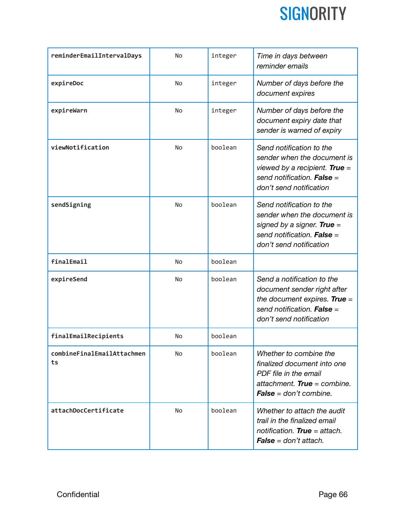

| reminderEmailIntervalDays        | No        | integer | Time in days between<br>reminder emails                                                                                                                   |
|----------------------------------|-----------|---------|-----------------------------------------------------------------------------------------------------------------------------------------------------------|
| expireDoc                        | <b>No</b> | integer | Number of days before the<br>document expires                                                                                                             |
| expireWarn                       | No        | integer | Number of days before the<br>document expiry date that<br>sender is warned of expiry                                                                      |
| viewNotification                 | <b>No</b> | boolean | Send notification to the<br>sender when the document is<br>viewed by a recipient. True =<br>send notification. <b>False</b> =<br>don't send notification  |
| sendSigning                      | No        | boolean | Send notification to the<br>sender when the document is<br>signed by a signer. True =<br>send notification. <b>False</b> =<br>don't send notification     |
| finalEmail                       | <b>No</b> | boolean |                                                                                                                                                           |
| expireSend                       | No        | boolean | Send a notification to the<br>document sender right after<br>the document expires. True =<br>send notification. <b>False</b> =<br>don't send notification |
| finalEmailRecipients             | <b>No</b> | boolean |                                                                                                                                                           |
| combineFinalEmailAttachmen<br>ts | No        | boolean | Whether to combine the<br>finalized document into one<br>PDF file in the email<br>attachment. True = combine.<br><b>False</b> = $don't combine.$          |
| attachDocCertificate             | No        | boolean | Whether to attach the audit<br>trail in the finalized email<br>notification. True = attach.<br><b>False</b> = $don't$ attach.                             |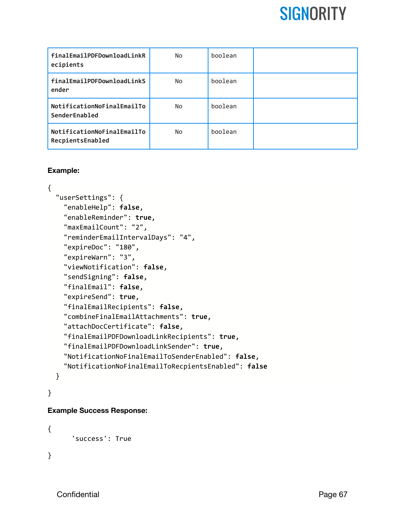| finalEmailPDFDownloadLinkR<br>ecipients        | No | boolean |  |
|------------------------------------------------|----|---------|--|
| finalEmailPDFDownloadLinkS<br>ender            | No | boolean |  |
| NotificationNoFinalEmailTo<br>SenderEnabled    | No | boolean |  |
| NotificationNoFinalEmailTo<br>RecpientsEnabled | No | boolean |  |

#### **Example:**

```
{
  "userSettings": {
    "enableHelp": false,
    "enableReminder": true,
    "maxEmailCount": "2",
    "reminderEmailIntervalDays": "4",
    "expireDoc": "180",
    "expireWarn": "3",
    "viewNotification": false,
    "sendSigning": false,
    "finalEmail": false,
    "expireSend": true,
    "finalEmailRecipients": false,
    "combineFinalEmailAttachments": true,
    "attachDocCertificate": false,
    "finalEmailPDFDownloadLinkRecipients": true,
    "finalEmailPDFDownloadLinkSender": true,
    "NotificationNoFinalEmailToSenderEnabled": false,
    "NotificationNoFinalEmailToRecpientsEnabled": false
  }
```
### }

#### **Example Success Response:**

```
{
      'success': True
}
```